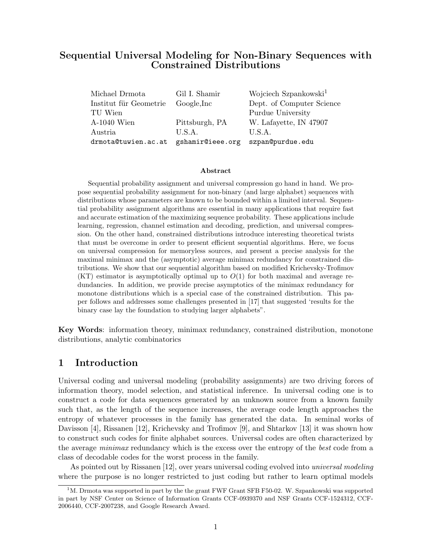# Sequential Universal Modeling for Non-Binary Sequences with Constrained Distributions

| Michael Drmota         | Gil I. Shamir    | Wojciech Szpankowski <sup>1</sup> |
|------------------------|------------------|-----------------------------------|
| Institut für Geometrie | Google, Inc      | Dept. of Computer Science         |
| TU Wien                |                  | Purdue University                 |
| $A-1040$ Wien          | Pittsburgh, PA   | W. Lafayette, IN 47907            |
| Austria                | U.S.A.           | U.S.A.                            |
| drmota@tuwien.ac.at    | gshamir@ieee.org | szpan@purdue.edu                  |

#### Abstract

Sequential probability assignment and universal compression go hand in hand. We propose sequential probability assignment for non-binary (and large alphabet) sequences with distributions whose parameters are known to be bounded within a limited interval. Sequential probability assignment algorithms are essential in many applications that require fast and accurate estimation of the maximizing sequence probability. These applications include learning, regression, channel estimation and decoding, prediction, and universal compression. On the other hand, constrained distributions introduce interesting theoretical twists that must be overcome in order to present efficient sequential algorithms. Here, we focus on universal compression for memoryless sources, and present a precise analysis for the maximal minimax and the (asymptotic) average minimax redundancy for constrained distributions. We show that our sequential algorithm based on modified Krichevsky-Trofimov  $(KT)$  estimator is asymptotically optimal up to  $O(1)$  for both maximal and average redundancies. In addition, we provide precise asymptotics of the minimax redundancy for monotone distributions which is a special case of the constrained distribution. This paper follows and addresses some challenges presented in [17] that suggested 'results for the binary case lay the foundation to studying larger alphabets".

Key Words: information theory, minimax redundancy, constrained distribution, monotone distributions, analytic combinatorics

## 1 Introduction

Universal coding and universal modeling (probability assignments) are two driving forces of information theory, model selection, and statistical inference. In universal coding one is to construct a code for data sequences generated by an unknown source from a known family such that, as the length of the sequence increases, the average code length approaches the entropy of whatever processes in the family has generated the data. In seminal works of Davisson [4], Rissanen [12], Krichevsky and Trofimov [9], and Shtarkov [13] it was shown how to construct such codes for finite alphabet sources. Universal codes are often characterized by the average *minimax* redundancy which is the excess over the entropy of the *best* code from a class of decodable codes for the worst process in the family.

As pointed out by Rissanen [12], over years universal coding evolved into universal modeling where the purpose is no longer restricted to just coding but rather to learn optimal models

<sup>&</sup>lt;sup>1</sup>M. Drmota was supported in part by the the grant FWF Grant SFB F50-02. W. Szpankowski was supported in part by NSF Center on Science of Information Grants CCF-0939370 and NSF Grants CCF-1524312, CCF-2006440, CCF-2007238, and Google Research Award.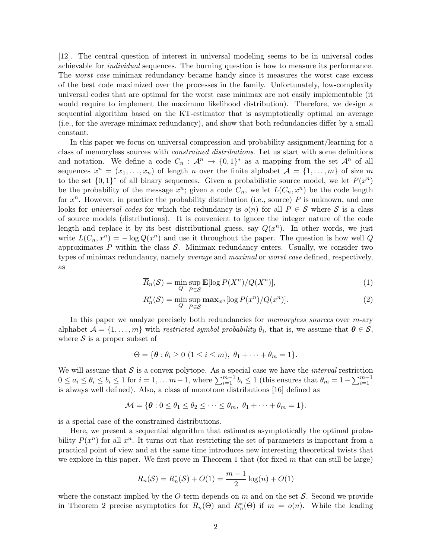[12]. The central question of interest in universal modeling seems to be in universal codes achievable for individual sequences. The burning question is how to measure its performance. The *worst case* minimax redundancy became handy since it measures the worst case excess of the best code maximized over the processes in the family. Unfortunately, low-complexity universal codes that are optimal for the worst case minimax are not easily implementable (it would require to implement the maximum likelihood distribution). Therefore, we design a sequential algorithm based on the KT-estimator that is asymptotically optimal on average (i.e., for the average minimax redundancy), and show that both redundancies differ by a small constant.

In this paper we focus on universal compression and probability assignment/learning for a class of memoryless sources with constrained distributions. Let us start with some definitions and notation. We define a code  $C_n$ :  $\mathcal{A}^n \to \{0,1\}^*$  as a mapping from the set  $\mathcal{A}^n$  of all sequences  $x^n = (x_1, \ldots, x_n)$  of length n over the finite alphabet  $\mathcal{A} = \{1, \ldots, m\}$  of size m to the set  $\{0,1\}^*$  of all binary sequences. Given a probabilistic source model, we let  $P(x^n)$ be the probability of the message  $x^n$ ; given a code  $C_n$ , we let  $L(C_n, x^n)$  be the code length for  $x^n$ . However, in practice the probability distribution (i.e., source) P is unknown, and one looks for universal codes for which the redundancy is  $o(n)$  for all  $P \in \mathcal{S}$  where  $\mathcal{S}$  is a class of source models (distributions). It is convenient to ignore the integer nature of the code length and replace it by its best distributional guess, say  $Q(x^n)$ . In other words, we just write  $L(C_n, x^n) = -\log Q(x^n)$  and use it throughout the paper. The question is how well Q approximates  $P$  within the class  $S$ . Minimax redundancy enters. Usually, we consider two types of minimax redundancy, namely average and maximal or worst case defined, respectively, as

$$
\overline{R}_n(\mathcal{S}) = \min_{Q} \sup_{P \in \mathcal{S}} \mathbf{E}[\log P(X^n) / Q(X^n)],\tag{1}
$$

$$
R_n^*(\mathcal{S}) = \min_{Q} \max_{P \in \mathcal{S}} \max_{x^n} [\log P(x^n) / Q(x^n)]. \tag{2}
$$

In this paper we analyze precisely both redundancies for *memoryless sources* over m-ary alphabet  $\mathcal{A} = \{1, \ldots, m\}$  with *restricted symbol probability*  $\theta_i$ , that is, we assume that  $\boldsymbol{\theta} \in \mathcal{S}$ , where  $\mathcal S$  is a proper subset of

$$
\Theta = \{ \boldsymbol{\theta} : \theta_i \geq 0 \ (1 \leq i \leq m), \ \theta_1 + \cdots + \theta_m = 1 \}.
$$

We will assume that  $S$  is a convex polytope. As a special case we have the *interval* restriction  $0 \le a_i \le \theta_i \le b_i \le 1$  for  $i = 1, \ldots m-1$ , where  $\sum_{i=1}^{m-1} b_i \le 1$  (this ensures that  $\theta_m = 1 - \sum_{i=1}^{m-1} b_i$ ) is always well defined). Also, a class of monotone distributions [16] defined as

$$
\mathcal{M} = \{\boldsymbol{\theta} : 0 \le \theta_1 \le \theta_2 \le \cdots \le \theta_m, \ \theta_1 + \cdots + \theta_m = 1\}.
$$

is a special case of the constrained distributions.

Here, we present a sequential algorithm that estimates asymptotically the optimal probability  $P(x^n)$  for all  $x^n$ . It turns out that restricting the set of parameters is important from a practical point of view and at the same time introduces new interesting theoretical twists that we explore in this paper. We first prove in Theorem 1 that (for fixed  $m$  that can still be large)

$$
\overline{R}_n(\mathcal{S}) = R_n^*(\mathcal{S}) + O(1) = \frac{m-1}{2}\log(n) + O(1)
$$

where the constant implied by the O-term depends on  $m$  and on the set  $S$ . Second we provide in Theorem 2 precise asymptotics for  $\overline{R}_n(\Theta)$  and  $R_n^*(\Theta)$  if  $m = o(n)$ . While the leading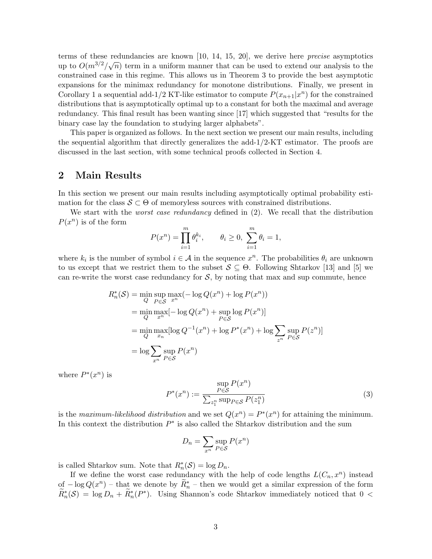terms of these redundancies are known [10, 14, 15, 20], we derive here *precise* asymptotics up to  $O(m^{3/2}/\sqrt{n})$  term in a uniform manner that can be used to extend our analysis to the constrained case in this regime. This allows us in Theorem 3 to provide the best asymptotic expansions for the minimax redundancy for monotone distributions. Finally, we present in Corollary 1 a sequential add-1/2 KT-like estimator to compute  $P(x_{n+1}|x^n)$  for the constrained distributions that is asymptotically optimal up to a constant for both the maximal and average redundancy. This final result has been wanting since [17] which suggested that "results for the binary case lay the foundation to studying larger alphabets".

This paper is organized as follows. In the next section we present our main results, including the sequential algorithm that directly generalizes the add-1/2-KT estimator. The proofs are discussed in the last section, with some technical proofs collected in Section 4.

# 2 Main Results

In this section we present our main results including asymptotically optimal probability estimation for the class  $S \subset \Theta$  of memoryless sources with constrained distributions.

We start with the *worst case redundancy* defined in  $(2)$ . We recall that the distribution  $P(x^n)$  is of the form

$$
P(x^n) = \prod_{i=1}^m \theta_i^{k_i}, \qquad \theta_i \ge 0, \ \sum_{i=1}^m \theta_i = 1,
$$

where  $k_i$  is the number of symbol  $i \in \mathcal{A}$  in the sequence  $x^n$ . The probabilities  $\theta_i$  are unknown to us except that we restrict them to the subset  $S \subseteq \Theta$ . Following Shtarkov [13] and [5] we can re-write the worst case redundancy for  $S$ , by noting that max and sup commute, hence

$$
R_n^*(\mathcal{S}) = \min_{Q} \max_{P \in \mathcal{S}} (-\log Q(x^n) + \log P(x^n))
$$
  
= 
$$
\min_{Q} \max_{x^n} [-\log Q(x^n) + \sup_{P \in \mathcal{S}} \log P(x^n)]
$$
  
= 
$$
\min_{Q} \max_{x_n} [\log Q^{-1}(x^n) + \log P^*(x^n) + \log \sum_{z^n} \sup_{P \in \mathcal{S}} P(z^n)]
$$
  
= 
$$
\log \sum_{x^n} \sup_{P \in \mathcal{S}} P(x^n)
$$

where  $P^*(x^n)$  is

$$
P^*(x^n) := \frac{\sup_{P \in \mathcal{S}} P(x^n)}{\sum_{z_1^n} \sup_{P \in \mathcal{S}} P(z_1^n)}
$$
(3)

is the maximum-likelihood distribution and we set  $Q(x^n) = P^*(x^n)$  for attaining the minimum. In this context the distribution  $P^*$  is also called the Shtarkov distribution and the sum

$$
D_n = \sum_{x^n} \sup_{P \in \mathcal{S}} P(x^n)
$$

is called Shtarkov sum. Note that  $R_n^*(\mathcal{S}) = \log D_n$ .

If we define the worst case redundancy with the help of code lengths  $L(C_n, x^n)$  instead of  $-\log Q(x^n)$  – that we denote by  $\widetilde{R}_n^*$  – then we would get a similar expression of the form  $\widetilde{R}_n^*(\mathcal{S}) = \log D_n + \widetilde{R}_n^*(P^*)$ . Using Shannon's code Shtarkov immediately noticed that  $0 <$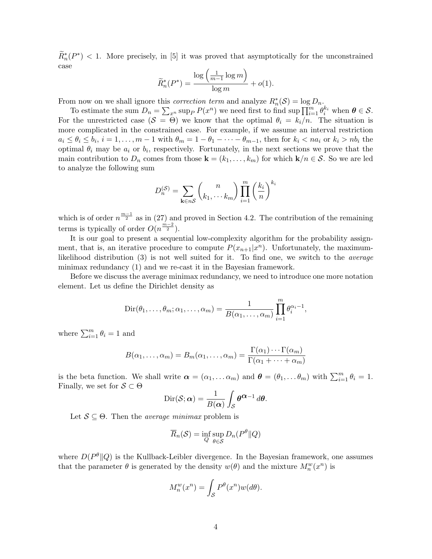$\widetilde{R}_n^*(P^*)$  < 1. More precisely, in [5] it was proved that asymptotically for the unconstrained case

$$
\widetilde{R}_n^*(P^*) = \frac{\log\left(\frac{1}{m-1}\log m\right)}{\log m} + o(1).
$$

From now on we shall ignore this *correction term* and analyze  $R_n^*(\mathcal{S}) = \log D_n$ .

To estimate the sum  $D_n = \sum_{x^n} \sup_P P(x^n)$  we need first to find  $\sup \prod_{i=1}^m \theta_i^{k_i}$  when  $\boldsymbol{\theta} \in \mathcal{S}$ . For the unrestricted case  $(S = \Theta)$  we know that the optimal  $\theta_i = k_i/n$ . The situation is more complicated in the constrained case. For example, if we assume an interval restriction  $a_i \leq \theta_i \leq b_i$ ,  $i = 1, \ldots, m-1$  with  $\theta_m = 1 - \theta_1 - \cdots - \theta_{m-1}$ , then for  $k_i < na_i$  or  $k_i > nb_i$  the optimal  $\theta_i$  may be  $a_i$  or  $b_i$ , respectively. Fortunately, in the next sections we prove that the main contribution to  $D_n$  comes from those  $\mathbf{k} = (k_1, \ldots, k_m)$  for which  $\mathbf{k}/n \in \mathcal{S}$ . So we are led to analyze the following sum

$$
D_n^{(\mathcal{S})} = \sum_{\mathbf{k} \in n\mathcal{S}} \binom{n}{k_1, \cdots k_m} \prod_{i=1}^m \left(\frac{k_i}{n}\right)^{k_i}
$$

which is of order  $n^{\frac{m-1}{2}}$  as in (27) and proved in Section 4.2. The contribution of the remaining terms is typically of order  $O(n^{\frac{m-2}{2}})$ .

It is our goal to present a sequential low-complexity algorithm for the probability assignment, that is, an iterative procedure to compute  $P(x_{n+1}|x^n)$ . Unfortunately, the maximumlikelihood distribution (3) is not well suited for it. To find one, we switch to the average minimax redundancy (1) and we re-cast it in the Bayesian framework.

Before we discuss the average minimax redundancy, we need to introduce one more notation element. Let us define the Dirichlet density as

$$
\text{Dir}(\theta_1,\ldots,\theta_m;\alpha_1,\ldots,\alpha_m)=\frac{1}{B(\alpha_1,\ldots,\alpha_m)}\prod_{i=1}^m\theta_i^{\alpha_i-1},
$$

where  $\sum_{i=1}^{m} \theta_i = 1$  and

$$
B(\alpha_1, \ldots, \alpha_m) = B_m(\alpha_1, \ldots, \alpha_m) = \frac{\Gamma(\alpha_1) \cdots \Gamma(\alpha_m)}{\Gamma(\alpha_1 + \cdots + \alpha_m)}
$$

is the beta function. We shall write  $\boldsymbol{\alpha} = (\alpha_1, \dots \alpha_m)$  and  $\boldsymbol{\theta} = (\theta_1, \dots \theta_m)$  with  $\sum_{i=1}^m \theta_i = 1$ . Finally, we set for  $S \subset \Theta$ 

$$
Dir(S; \alpha) = \frac{1}{B(\alpha)} \int_{S} \theta^{\alpha - 1} d\theta.
$$

Let  $S \subseteq \Theta$ . Then the *average minimax* problem is

$$
\overline{R}_n(\mathcal{S}) = \inf_{Q} \sup_{\theta \in \mathcal{S}} D_n(P^{\theta} || Q)
$$

where  $D(P^{\theta}||Q)$  is the Kullback-Leibler divergence. In the Bayesian framework, one assumes that the parameter  $\theta$  is generated by the density  $w(\theta)$  and the mixture  $M_n^w(x^n)$  is

$$
M_n^w(x^n) = \int_{\mathcal{S}} P^{\theta}(x^n) w(d\theta).
$$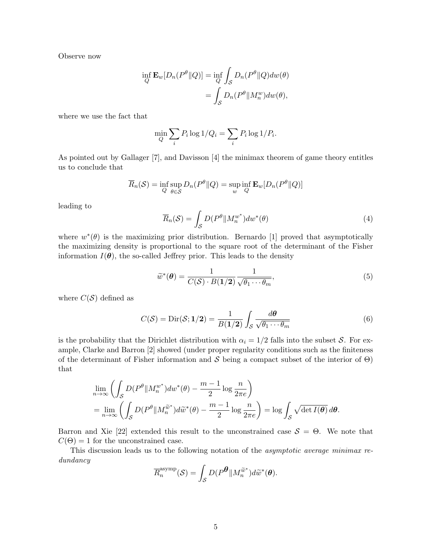Observe now

$$
\inf_{Q} \mathbf{E}_{w}[D_{n}(P^{\theta}||Q)] = \inf_{Q} \int_{S} D_{n}(P^{\theta}||Q)dw(\theta)
$$

$$
= \int_{S} D_{n}(P^{\theta}||M_{n}^{w})dw(\theta),
$$

where we use the fact that

$$
\min_{Q} \sum_{i} P_i \log 1/Q_i = \sum_{i} P_i \log 1/P_i.
$$

As pointed out by Gallager [7], and Davisson [4] the minimax theorem of game theory entitles us to conclude that

$$
\overline{R}_n(\mathcal{S}) = \inf_{Q} \sup_{\theta \in \mathcal{S}} D_n(P^{\theta} \| Q) = \sup_{w} \inf_{Q} \mathbf{E}_w[D_n(P^{\theta} \| Q)]
$$

leading to

$$
\overline{R}_n(\mathcal{S}) = \int_{\mathcal{S}} D(P^{\theta} \| M_n^{w^*}) dw^*(\theta)
$$
\n(4)

where  $w^*(\theta)$  is the maximizing prior distribution. Bernardo [1] proved that asymptotically the maximizing density is proportional to the square root of the determinant of the Fisher information  $I(\theta)$ , the so-called Jeffrey prior. This leads to the density

$$
\widetilde{w}^*(\boldsymbol{\theta}) = \frac{1}{C(\mathcal{S}) \cdot B(1/2)} \frac{1}{\sqrt{\theta_1 \cdots \theta_m}},\tag{5}
$$

where  $C(S)$  defined as

$$
C(S) = \text{Dir}(S; 1/2) = \frac{1}{B(1/2)} \int_{S} \frac{d\theta}{\sqrt{\theta_1 \cdots \theta_m}}
$$
(6)

is the probability that the Dirichlet distribution with  $\alpha_i = 1/2$  falls into the subset S. For example, Clarke and Barron [2] showed (under proper regularity conditions such as the finiteness of the determinant of Fisher information and S being a compact subset of the interior of  $\Theta$ ) that

$$
\lim_{n \to \infty} \left( \int_{\mathcal{S}} D(P^{\theta} \| M_n^{w^*}) dw^*(\theta) - \frac{m-1}{2} \log \frac{n}{2\pi e} \right)
$$
  
= 
$$
\lim_{n \to \infty} \left( \int_{\mathcal{S}} D(P^{\theta} \| M_n^{\widetilde{w}^*}) d\widetilde{w}^*(\theta) - \frac{m-1}{2} \log \frac{n}{2\pi e} \right) = \log \int_{\mathcal{S}} \sqrt{\det I(\theta)} d\theta.
$$

Barron and Xie [22] extended this result to the unconstrained case  $S = \Theta$ . We note that  $C(\Theta) = 1$  for the unconstrained case.

This discussion leads us to the following notation of the *asymptotic average minimax re*dundancy

$$
\overline{R}_n^{\text{asymp}}(\mathcal{S}) = \int_{\mathcal{S}} D(P^{\boldsymbol{\theta}} \| M_n^{\widetilde{w}^*}) d\widetilde{w}^*(\boldsymbol{\theta}).
$$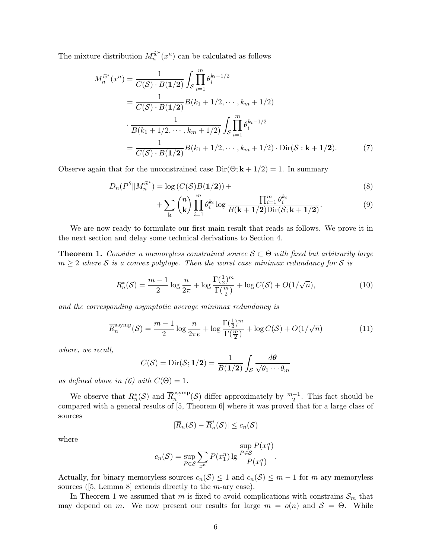The mixture distribution  $M_n^{\widetilde{w}^*}(x^n)$  can be calculated as follows

$$
M_n^{\tilde{w}^*}(x^n) = \frac{1}{C(\mathcal{S}) \cdot B(1/2)} \int_{\mathcal{S}} \prod_{i=1}^m \theta_i^{k_i - 1/2}
$$
  
= 
$$
\frac{1}{C(\mathcal{S}) \cdot B(1/2)} B(k_1 + 1/2, \dots, k_m + 1/2)
$$
  

$$
\cdot \frac{1}{B(k_1 + 1/2, \dots, k_m + 1/2)} \int_{\mathcal{S}} \prod_{i=1}^m \theta_i^{k_i - 1/2}
$$
  
= 
$$
\frac{1}{C(\mathcal{S}) \cdot B(1/2)} B(k_1 + 1/2, \dots, k_m + 1/2) \cdot \text{Dir}(\mathcal{S} : \mathbf{k} + 1/2).
$$
 (7)

Observe again that for the unconstrained case  $Dir(\Theta; \mathbf{k} + 1/2) = 1$ . In summary

$$
D_n(P^{\theta} \| M_n^{\widetilde{\omega}^*}) = \log \left( C(\mathcal{S}) B(\mathbf{1}/2) \right) + \tag{8}
$$

$$
+\sum_{\mathbf{k}}\binom{n}{\mathbf{k}}\prod_{i=1}^{m}\theta_i^{k_i}\log\frac{\prod_{i=1}^{m}\theta_i^{k_i}}{B(\mathbf{k}+\mathbf{1}/2)\mathrm{Dir}(\mathcal{S};\mathbf{k}+\mathbf{1}/2)}.\tag{9}
$$

We are now ready to formulate our first main result that reads as follows. We prove it in the next section and delay some technical derivations to Section 4.

**Theorem 1.** Consider a memoryless constrained source  $S \subset \Theta$  with fixed but arbitrarily large  $m \geq 2$  where S is a convex polytope. Then the worst case minimax redundancy for S is

$$
R_n^*(\mathcal{S}) = \frac{m-1}{2} \log \frac{n}{2\pi} + \log \frac{\Gamma(\frac{1}{2})^m}{\Gamma(\frac{m}{2})} + \log C(\mathcal{S}) + O(1/\sqrt{n}),\tag{10}
$$

and the corresponding asymptotic average minimax redundancy is

$$
\overline{R}_n^{\text{asymp}}(\mathcal{S}) = \frac{m-1}{2} \log \frac{n}{2\pi e} + \log \frac{\Gamma(\frac{1}{2})^m}{\Gamma(\frac{m}{2})} + \log C(\mathcal{S}) + O(1/\sqrt{n}) \tag{11}
$$

where, we recall,

$$
C(S) = \text{Dir}(S; 1/2) = \frac{1}{B(1/2)} \int_{S} \frac{d\theta}{\sqrt{\theta_1 \cdots \theta_m}}
$$

as defined above in (6) with  $C(\Theta) = 1$ .

We observe that  $R_n^*(\mathcal{S})$  and  $\overline{R}_n^{\text{asymp}}$  $\binom{\text{asymp}}{n}$  (S) differ approximately by  $\frac{m-1}{2}$ . This fact should be compared with a general results of [5, Theorem 6] where it was proved that for a large class of sources

$$
|\overline{R}_n(\mathcal{S}) - \overline{R}_n^*(\mathcal{S})| \le c_n(\mathcal{S})
$$

where

$$
c_n(\mathcal{S}) = \sup_{P \in \mathcal{S}} \sum_{x^n} P(x_1^n) \lg \frac{\sup_{P \in \mathcal{S}} P(x_1^n)}{P(x_1^n)}.
$$

Actually, for binary memoryless sources  $c_n(S) \leq 1$  and  $c_n(S) \leq m-1$  for m-ary memoryless sources ( $[5, \text{Lemma 8}]$  extends directly to the *m*-ary case).

In Theorem 1 we assumed that m is fixed to avoid complications with constrains  $\mathcal{S}_m$  that may depend on m. We now present our results for large  $m = o(n)$  and  $S = \Theta$ . While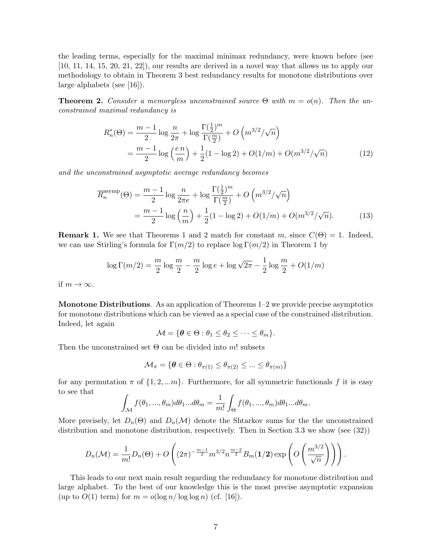the leading terms, especially for the maximal minimax redundancy, were known before (see [10, 11, 14, 15, 20, 21, 22]), our results are derived in a novel way that allows us to apply our methodology to obtain in Theorem 3 best redundancy results for monotone distributions over large alphabets (see [16]).

**Theorem 2.** Consider a memoryless unconstrained source  $\Theta$  with  $m = o(n)$ . Then the unconstrained maximal redundancy is

$$
R_n^*(\Theta) = \frac{m-1}{2} \log \frac{n}{2\pi} + \log \frac{\Gamma(\frac{1}{2})^m}{\Gamma(\frac{m}{2})} + O\left(m^{3/2}/\sqrt{n}\right)
$$
  
= 
$$
\frac{m-1}{2} \log \left(\frac{en}{m}\right) + \frac{1}{2}(1 - \log 2) + O(1/m) + O(m^{3/2}/\sqrt{n})
$$
(12)

and the unconstrained asymptotic average redundancy becomes

$$
\overline{R}_n^{\text{asymp}}(\Theta) = \frac{m-1}{2} \log \frac{n}{2\pi e} + \log \frac{\Gamma(\frac{1}{2})^m}{\Gamma(\frac{m}{2})} + O\left(m^{3/2}/\sqrt{n}\right)
$$

$$
= \frac{m-1}{2} \log \left(\frac{n}{m}\right) + \frac{1}{2} (1 - \log 2) + O(1/m) + O(m^{3/2}/\sqrt{n}).\tag{13}
$$

**Remark 1.** We see that Theorems 1 and 2 match for constant m, since  $C(\Theta) = 1$ . Indeed, we can use Stirling's formula for  $\Gamma(m/2)$  to replace  $\log \Gamma(m/2)$  in Theorem 1 by

$$
\log \Gamma (m/2) = \frac{m}{2} \log \frac{m}{2} - \frac{m}{2} \log e + \log \sqrt{2\pi} - \frac{1}{2} \log \frac{m}{2} + O(1/m)
$$

if  $m \to \infty$ .

Monotone Distributions. As an application of Theorems 1–2 we provide precise asymptotics for monotone distributions which can be viewed as a special case of the constrained distribution. Indeed, let again

 $\mathcal{M} = \{ \boldsymbol{\theta} \in \Theta : \theta_1 \leq \theta_2 \leq \cdots \leq \theta_m \}.$ 

Then the unconstrained set  $\Theta$  can be divided into m! subsets

$$
\mathcal{M}_{\pi} = \{ \boldsymbol{\theta} \in \Theta : \theta_{\pi(1)} \le \theta_{\pi(2)} \le \dots \le \theta_{\pi(m)} \}
$$

for any permutation  $\pi$  of  $\{1, 2, \ldots m\}$ . Furthermore, for all symmetric functionals f it is easy to see that

$$
\int_{\mathcal{M}} f(\theta_1, ..., \theta_m) d\theta_1 ... d\theta_m = \frac{1}{m!} \int_{\Theta} f(\theta_1, ..., \theta_m) d\theta_1 ... d\theta_m.
$$

More precisely, let  $D_n(\Theta)$  and  $D_n(\mathcal{M})$  denote the Shtarkov sums for the the unconstrained distribution and monotone distribution, respectively. Then in Section 3.3 we show (see (32))

$$
D_n(\mathcal{M}) = \frac{1}{m!} D_n(\Theta) + O\left((2\pi)^{-\frac{m-1}{2}} m^{3/2} n^{\frac{m-2}{2}} B_m(\mathbf{1}/2) \exp\left(O\left(\frac{m^{3/2}}{\sqrt{n}}\right)\right)\right).
$$

This leads to our next main result regarding the redundancy for monotone distribution and large alphabet. To the best of our knowledge this is the most precise asymptotic expansion (up to  $O(1)$  term) for  $m = o(\log n / \log \log n)$  (cf. [16]).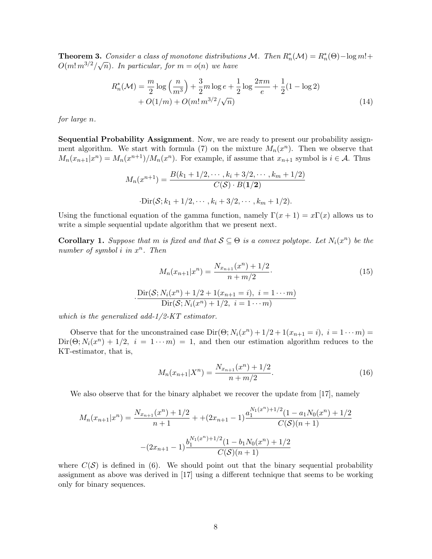**Theorem 3.** Consider a class of monotone distributions M. Then  $R_n^*(\mathcal{M}) = R_n^*(\Theta) - \log m! +$ **Theorem 3.** Consider a class of monotone assertional  $O(m! m^{3/2}/\sqrt{n})$ . In particular, for  $m = o(n)$  we have

$$
R_n^*(\mathcal{M}) = \frac{m}{2}\log\left(\frac{n}{m^3}\right) + \frac{3}{2}m\log e + \frac{1}{2}\log\frac{2\pi m}{e} + \frac{1}{2}(1 - \log 2) + O(1/m) + O(m! \, m^{3/2}/\sqrt{n})\tag{14}
$$

for large n.

Sequential Probability Assignment. Now, we are ready to present our probability assignment algorithm. We start with formula (7) on the mixture  $M_n(x^n)$ . Then we observe that  $M_n(x_{n+1}|x^n) = M_n(x^{n+1})/M_n(x^n)$ . For example, if assume that  $x_{n+1}$  symbol is  $i \in \mathcal{A}$ . Thus

$$
M_n(x^{n+1}) = \frac{B(k_1 + 1/2, \cdots, k_i + 3/2, \cdots, k_m + 1/2)}{C(\mathcal{S}) \cdot B(1/2)}
$$

$$
\cdot \text{Dir}(\mathcal{S}; k_1 + 1/2, \cdots, k_i + 3/2, \cdots, k_m + 1/2).
$$

Using the functional equation of the gamma function, namely  $\Gamma(x+1) = x\Gamma(x)$  allows us to write a simple sequential update algorithm that we present next.

**Corollary 1.** Suppose that m is fixed and that  $S \subseteq \Theta$  is a convex polytope. Let  $N_i(x^n)$  be the number of symbol  $i$  in  $x^n$ . Then

$$
M_n(x_{n+1}|x^n) = \frac{N_{x_{n+1}}(x^n) + 1/2}{n + m/2}.
$$
\n
$$
\frac{\text{Dir}(S; N_i(x^n) + 1/2 + 1(x_{n+1} = i), i = 1 \cdots m)}{\text{Dir}(S; N_i(x^n) + 1/2, i = 1 \cdots m)}
$$
\n(15)

which is the generalized add- $1/2$ -KT estimator.

Observe that for the unconstrained case  $Dir(\Theta; N_i(x^n) + 1/2 + 1(x_{n+1} = i), i = 1 \cdots m)$  $\text{Dir}(\Theta; N_i(x^n) + 1/2, i = 1 \cdots m) = 1$ , and then our estimation algorithm reduces to the KT-estimator, that is,

$$
M_n(x_{n+1}|X^n) = \frac{N_{x_{n+1}}(x^n) + 1/2}{n + m/2}.
$$
\n(16)

We also observe that for the binary alphabet we recover the update from [17], namely

$$
M_n(x_{n+1}|x^n) = \frac{N_{x_{n+1}}(x^n) + 1/2}{n+1} + (2x_{n+1} - 1)\frac{a_1^{N_1(x^n) + 1/2}(1 - a_1N_0(x^n) + 1/2)}{C(S)(n+1)}
$$

$$
-(2x_{n+1} - 1)\frac{b_1^{N_1(x^n) + 1/2}(1 - b_1N_0(x^n) + 1/2)}{C(S)(n+1)}
$$

where  $C(S)$  is defined in (6). We should point out that the binary sequential probability assignment as above was derived in [17] using a different technique that seems to be working only for binary sequences.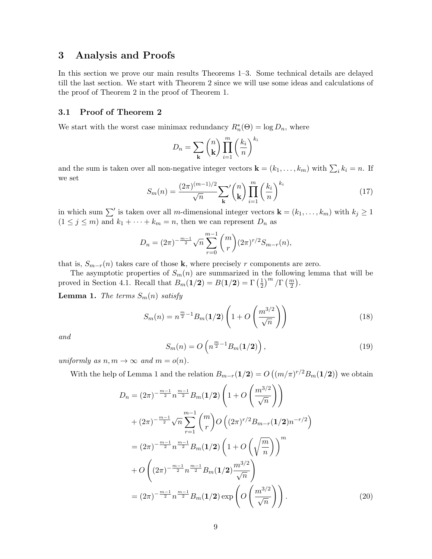## 3 Analysis and Proofs

In this section we prove our main results Theorems 1–3. Some technical details are delayed till the last section. We start with Theorem 2 since we will use some ideas and calculations of the proof of Theorem 2 in the proof of Theorem 1.

## 3.1 Proof of Theorem 2

We start with the worst case minimax redundancy  $R_n^*(\Theta) = \log D_n$ , where

$$
D_n = \sum_{\mathbf{k}} \binom{n}{\mathbf{k}} \prod_{i=1}^m \left(\frac{k_i}{n}\right)^{k_i}
$$

and the sum is taken over all non-negative integer vectors  $\mathbf{k} = (k_1, \ldots, k_m)$  with  $\sum_i k_i = n$ . If we set

$$
S_m(n) = \frac{(2\pi)^{(m-1)/2}}{\sqrt{n}} \sum_{\mathbf{k}}' {n \choose \mathbf{k}} \prod_{i=1}^m \left(\frac{k_i}{n}\right)^{k_i}
$$
(17)

in which sum  $\sum'$  is taken over all m-dimensional integer vectors  $\mathbf{k} = (k_1, \ldots, k_m)$  with  $k_j \ge 1$  $(1 \leq j \leq m)$  and  $k_1 + \cdots + k_m = n$ , then we can represent  $D_n$  as

$$
D_n = (2\pi)^{-\frac{m-1}{2}} \sqrt{n} \sum_{r=0}^{m-1} {m \choose r} (2\pi)^{r/2} S_{m-r}(n),
$$

that is,  $S_{m-r}(n)$  takes care of those k, where precisely r components are zero.

The asymptotic properties of  $S_m(n)$  are summarized in the following lemma that will be proved in Section 4.1. Recall that  $B_m(1/2) = B(1/2) = \Gamma\left(\frac{1}{2}\right)$  $\frac{1}{2}$  $\left| \frac{m}{2} \right| \left( \frac{m}{2} \right)$ .

**Lemma 1.** The terms  $S_m(n)$  satisfy

$$
S_m(n) = n^{\frac{m}{2}-1} B_m(1/2) \left( 1 + O\left(\frac{m^{3/2}}{\sqrt{n}}\right) \right)
$$
 (18)

and

$$
S_m(n) = O\left(n^{\frac{m}{2}-1}B_m(1/2)\right),\tag{19}
$$

uniformly as  $n, m \to \infty$  and  $m = o(n)$ .

With the help of Lemma 1 and the relation  $B_{m-r}(1/2) = O((m/\pi)^{r/2}B_m(1/2))$  we obtain

$$
D_n = (2\pi)^{-\frac{m-1}{2}} n^{\frac{m-1}{2}} B_m(1/2) \left( 1 + O\left(\frac{m^{3/2}}{\sqrt{n}}\right) \right)
$$
  
+  $(2\pi)^{-\frac{m-1}{2}} \sqrt{n} \sum_{r=1}^{m-1} {m \choose r} O\left((2\pi)^{r/2} B_{m-r}(1/2) n^{-r/2}\right)$   
=  $(2\pi)^{-\frac{m-1}{2}} n^{\frac{m-1}{2}} B_m(1/2) \left( 1 + O\left(\sqrt{\frac{m}{n}}\right) \right)^m$   
+  $O\left((2\pi)^{-\frac{m-1}{2}} n^{\frac{m-1}{2}} B_m(1/2) \frac{m^{3/2}}{\sqrt{n}}\right)$   
=  $(2\pi)^{-\frac{m-1}{2}} n^{\frac{m-1}{2}} B_m(1/2) \exp\left(O\left(\frac{m^{3/2}}{\sqrt{n}}\right)\right).$  (20)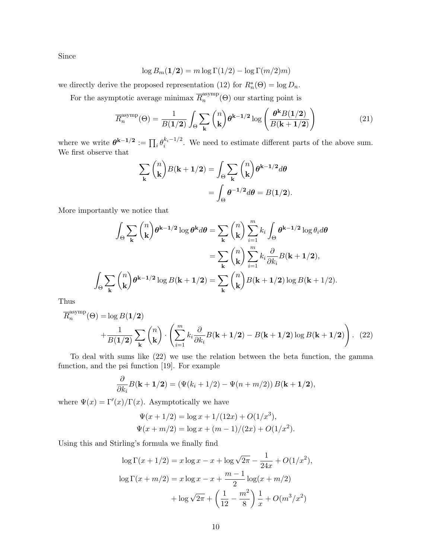Since

$$
\log B_m(\mathbf{1}/\mathbf{2}) = m \log \Gamma(1/2) - \log \Gamma(m/2)m)
$$

we directly derive the proposed representation (12) for  $R_n^*(\Theta) = \log D_n$ .

For the asymptotic average minimax  $\overline{R}_n^{\text{asymp}}$  $n^{asymp}(\Theta)$  our starting point is

$$
\overline{R}_n^{\text{asymp}}(\Theta) = \frac{1}{B(1/2)} \int_{\Theta} \sum_{\mathbf{k}} {n \choose \mathbf{k}} \theta^{\mathbf{k}-1/2} \log \left( \frac{\theta^{\mathbf{k}} B(1/2)}{B(\mathbf{k}+1/2)} \right)
$$
(21)

where we write  $\boldsymbol{\theta}^{k-1/2} := \prod_i \theta_i^{k_i - 1/2}$  $\frac{\kappa_i - 1}{i}$ . We need to estimate different parts of the above sum. We first observe that

$$
\sum_{\mathbf{k}} \binom{n}{\mathbf{k}} B(\mathbf{k} + \mathbf{1}/2) = \int_{\Theta} \sum_{\mathbf{k}} \binom{n}{\mathbf{k}} \theta^{\mathbf{k} - \mathbf{1}/2} d\theta
$$

$$
= \int_{\Theta} \theta^{-\mathbf{1}/2} d\theta = B(\mathbf{1}/2).
$$

More importantly we notice that

$$
\int_{\Theta} \sum_{\mathbf{k}} {n \choose \mathbf{k}} \theta^{\mathbf{k}-1/2} \log \theta^{\mathbf{k}} d\theta = \sum_{\mathbf{k}} {n \choose \mathbf{k}} \sum_{i=1}^{m} k_i \int_{\Theta} \theta^{\mathbf{k}-1/2} \log \theta_i d\theta
$$

$$
= \sum_{\mathbf{k}} {n \choose \mathbf{k}} \sum_{i=1}^{m} k_i \frac{\partial}{\partial k_i} B(\mathbf{k} + 1/2),
$$

$$
\int_{\Theta} \sum_{\mathbf{k}} {n \choose \mathbf{k}} \theta^{\mathbf{k}-1/2} \log B(\mathbf{k} + 1/2) = \sum_{\mathbf{k}} {n \choose \mathbf{k}} B(\mathbf{k} + 1/2) \log B(\mathbf{k} + 1/2).
$$

Thus

$$
\overline{R}_n^{\text{asymp}}(\Theta) = \log B(1/2) + \frac{1}{B(1/2)} \sum_{\mathbf{k}} {n \choose \mathbf{k}} \cdot \left( \sum_{i=1}^m k_i \frac{\partial}{\partial k_i} B(\mathbf{k} + 1/2) - B(\mathbf{k} + 1/2) \log B(\mathbf{k} + 1/2) \right). (22)
$$

To deal with sums like (22) we use the relation between the beta function, the gamma function, and the psi function [19]. For example

$$
\frac{\partial}{\partial k_i}B(\mathbf{k}+\mathbf{1}/2)=(\Psi(k_i+1/2)-\Psi(n+m/2))B(\mathbf{k}+\mathbf{1}/2),
$$

where  $\Psi(x) = \Gamma'(x)/\Gamma(x)$ . Asymptotically we have

$$
\Psi(x + 1/2) = \log x + 1/(12x) + O(1/x^3),
$$
  
\n
$$
\Psi(x + m/2) = \log x + (m - 1)/(2x) + O(1/x^2).
$$

Using this and Stirling's formula we finally find

$$
\log \Gamma(x + 1/2) = x \log x - x + \log \sqrt{2\pi} - \frac{1}{24x} + O(1/x^2),
$$
  

$$
\log \Gamma(x + m/2) = x \log x - x + \frac{m-1}{2} \log(x + m/2)
$$
  

$$
+ \log \sqrt{2\pi} + \left(\frac{1}{12} - \frac{m^2}{8}\right) \frac{1}{x} + O(m^3/x^2)
$$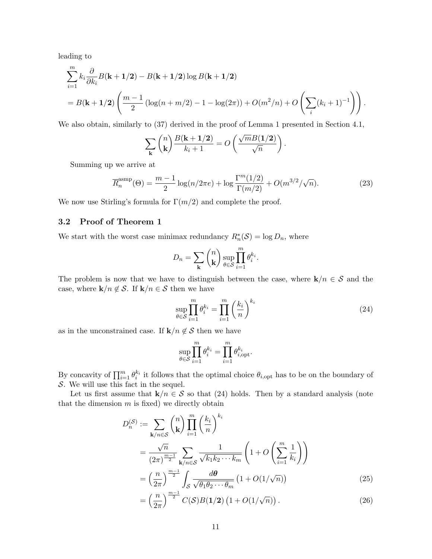leading to

$$
\sum_{i=1}^{m} k_i \frac{\partial}{\partial k_i} B(\mathbf{k} + \mathbf{1}/2) - B(\mathbf{k} + \mathbf{1}/2) \log B(\mathbf{k} + \mathbf{1}/2)
$$
  
=  $B(\mathbf{k} + \mathbf{1}/2) \left( \frac{m-1}{2} \left( \log(n + m/2) - 1 - \log(2\pi) \right) + O(m^2/n) + O\left(\sum_i (k_i + 1)^{-1}\right) \right).$ 

We also obtain, similarly to (37) derived in the proof of Lemma 1 presented in Section 4.1,

$$
\sum_{\mathbf{k}} {n \choose \mathbf{k}} \frac{B(\mathbf{k} + \mathbf{1}/2)}{k_i + 1} = O\left(\frac{\sqrt{m}B(\mathbf{1}/2)}{\sqrt{n}}\right).
$$

Summing up we arrive at

$$
\overline{R}_n^{\text{asmp}}(\Theta) = \frac{m-1}{2} \log(n/2\pi e) + \log \frac{\Gamma^m(1/2)}{\Gamma(m/2)} + O(m^{3/2}/\sqrt{n}).\tag{23}
$$

We now use Stirling's formula for  $\Gamma(m/2)$  and complete the proof.

### 3.2 Proof of Theorem 1

We start with the worst case minimax redundancy  $R_n^*(\mathcal{S}) = \log D_n$ , where

$$
D_n = \sum_{\mathbf{k}} \binom{n}{\mathbf{k}} \sup_{\theta \in \mathcal{S}} \prod_{i=1}^m \theta_i^{k_i}.
$$

The problem is now that we have to distinguish between the case, where  $\mathbf{k}/n \in \mathcal{S}$  and the case, where  $\mathbf{k}/n \notin \mathcal{S}$ . If  $\mathbf{k}/n \in \mathcal{S}$  then we have

$$
\sup_{\theta \in \mathcal{S}} \prod_{i=1}^{m} \theta_i^{k_i} = \prod_{i=1}^{m} \left(\frac{k_i}{n}\right)^{k_i} \tag{24}
$$

as in the unconstrained case. If  $\mathbf{k}/n \notin \mathcal{S}$  then we have

$$
\sup_{\theta \in \mathcal{S}} \prod_{i=1}^m \theta_i^{k_i} = \prod_{i=1}^m \theta_{i,\text{opt}}^{k_i}.
$$

By concavity of  $\prod_{i=1}^m \theta_i^{k_i}$  it follows that the optimal choice  $\theta_{i,\text{opt}}$  has to be on the boundary of S. We will use this fact in the sequel.

Let us first assume that  $\mathbf{k}/n \in \mathcal{S}$  so that (24) holds. Then by a standard analysis (note that the dimension  $m$  is fixed) we directly obtain

$$
D_n^{(S)} := \sum_{\mathbf{k}/n \in S} {n \choose \mathbf{k}} \prod_{i=1}^m \left(\frac{k_i}{n}\right)^{k_i}
$$
  
= 
$$
\frac{\sqrt{n}}{(2\pi)^{\frac{m-1}{2}}} \sum_{\mathbf{k}/n \in S} \frac{1}{\sqrt{k_1 k_2 \cdots k_m}} \left(1 + O\left(\sum_{i=1}^m \frac{1}{k_i}\right)\right)
$$
  
= 
$$
\left(\frac{n}{2\pi}\right)^{\frac{m-1}{2}} \int_S \frac{d\theta}{\sqrt{\theta_1 \theta_2 \cdots \theta_m}} \left(1 + O(1/\sqrt{n})\right)
$$
(25)

$$
= \left(\frac{n}{2\pi}\right)^{\frac{m-1}{2}} C(\mathcal{S}) B(1/2) \left(1 + O(1/\sqrt{n})\right). \tag{26}
$$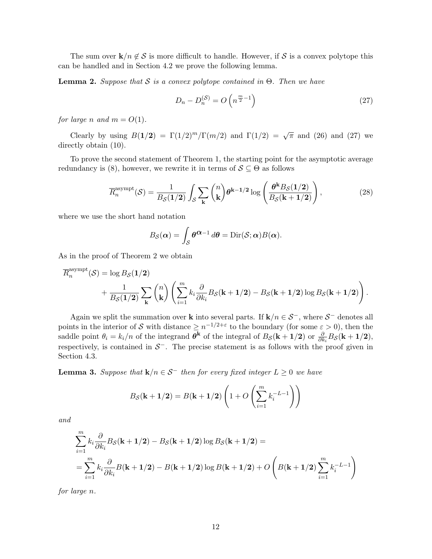The sum over  $\mathbf{k}/n \notin \mathcal{S}$  is more difficult to handle. However, if  $\mathcal{S}$  is a convex polytope this can be handled and in Section 4.2 we prove the following lemma.

**Lemma 2.** Suppose that S is a convex polytope contained in  $\Theta$ . Then we have

$$
D_n - D_n^{(\mathcal{S})} = O\left(n^{\frac{m}{2}-1}\right) \tag{27}
$$

for large n and  $m = O(1)$ .

Clearly by using  $B(1/2) = \Gamma(1/2)^m/\Gamma(m/2)$  and  $\Gamma(1/2) = \sqrt{\pi}$  and (26) and (27) we directly obtain (10).

To prove the second statement of Theorem 1, the starting point for the asymptotic average redundancy is (8), however, we rewrite it in terms of  $S \subseteq \Theta$  as follows

$$
\overline{R}_n^{\text{asympt}}(\mathcal{S}) = \frac{1}{B_{\mathcal{S}}(1/2)} \int_{\mathcal{S}} \sum_{\mathbf{k}} {n \choose \mathbf{k}} \theta^{\mathbf{k}-1/2} \log \left( \frac{\theta^{\mathbf{k}} B_{\mathcal{S}}(1/2)}{B_{\mathcal{S}}(\mathbf{k}+1/2)} \right), \tag{28}
$$

where we use the short hand notation

$$
B_{\mathcal{S}}(\boldsymbol{\alpha}) = \int_{\mathcal{S}} \boldsymbol{\theta}^{\boldsymbol{\alpha}-1} d\boldsymbol{\theta} = \text{Dir}(\mathcal{S}; \boldsymbol{\alpha}) B(\boldsymbol{\alpha}).
$$

As in the proof of Theorem 2 we obtain

$$
\overline{R}_{n}^{\text{asympt}}(\mathcal{S}) = \log B_{\mathcal{S}}(1/2) + \frac{1}{B_{\mathcal{S}}(1/2)} \sum_{\mathbf{k}} {n \choose \mathbf{k}} \left( \sum_{i=1}^{m} k_{i} \frac{\partial}{\partial k_{i}} B_{\mathcal{S}}(\mathbf{k} + 1/2) - B_{\mathcal{S}}(\mathbf{k} + 1/2) \log B_{\mathcal{S}}(\mathbf{k} + 1/2) \right).
$$

Again we split the summation over k into several parts. If  $\mathbf{k}/n \in \mathcal{S}^-$ , where  $\mathcal{S}^-$  denotes all points in the interior of S with distance  $\geq n^{-1/2+\varepsilon}$  to the boundary (for some  $\varepsilon > 0$ ), then the saddle point  $\theta_i = k_i/n$  of the integrand  $\theta^k$  of the integral of  $B_{\mathcal{S}}(k + 1/2)$  or  $\frac{\partial}{\partial k_i} B_{\mathcal{S}}(k + 1/2)$ , respectively, is contained in  $S^-$ . The precise statement is as follows with the proof given in Section 4.3.

**Lemma 3.** Suppose that  $\mathbf{k}/n \in \mathcal{S}^-$  then for every fixed integer  $L \geq 0$  we have

$$
B_{\mathcal{S}}(\mathbf{k} + \mathbf{1}/2) = B(\mathbf{k} + \mathbf{1}/2) \left( 1 + O\left( \sum_{i=1}^{m} k_i^{-L-1} \right) \right)
$$

and

$$
\sum_{i=1}^{m} k_i \frac{\partial}{\partial k_i} B_{\mathcal{S}}(\mathbf{k} + \mathbf{1/2}) - B_{\mathcal{S}}(\mathbf{k} + \mathbf{1/2}) \log B_{\mathcal{S}}(\mathbf{k} + \mathbf{1/2}) =
$$
\n
$$
= \sum_{i=1}^{m} k_i \frac{\partial}{\partial k_i} B(\mathbf{k} + \mathbf{1/2}) - B(\mathbf{k} + \mathbf{1/2}) \log B(\mathbf{k} + \mathbf{1/2}) + O\left(B(\mathbf{k} + \mathbf{1/2}) \sum_{i=1}^{m} k_i^{-L-1}\right)
$$

for large n.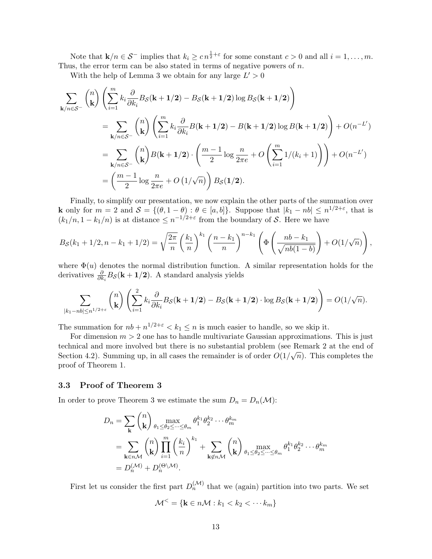Note that  $\mathbf{k}/n \in \mathcal{S}^-$  implies that  $k_i \geq c n^{\frac{1}{2}+\varepsilon}$  for some constant  $c > 0$  and all  $i = 1, \ldots, m$ . Thus, the error term can be also stated in terms of negative powers of  $n$ .

With the help of Lemma 3 we obtain for any large  $L' > 0$ 

$$
\sum_{\mathbf{k}/n\in\mathcal{S}^{-}} {n \choose \mathbf{k}} \left( \sum_{i=1}^{m} k_i \frac{\partial}{\partial k_i} B_{\mathcal{S}}(\mathbf{k} + 1/2) - B_{\mathcal{S}}(\mathbf{k} + 1/2) \log B_{\mathcal{S}}(\mathbf{k} + 1/2) \right)
$$
  
\n
$$
= \sum_{\mathbf{k}/n\in\mathcal{S}^{-}} {n \choose \mathbf{k}} \left( \sum_{i=1}^{m} k_i \frac{\partial}{\partial k_i} B(\mathbf{k} + 1/2) - B(\mathbf{k} + 1/2) \log B(\mathbf{k} + 1/2) \right) + O(n^{-L'})
$$
  
\n
$$
= \sum_{\mathbf{k}/n\in\mathcal{S}^{-}} {n \choose \mathbf{k}} B(\mathbf{k} + 1/2) \cdot \left( \frac{m-1}{2} \log \frac{n}{2\pi e} + O\left( \sum_{i=1}^{m} 1/(k_i + 1) \right) \right) + O(n^{-L'})
$$
  
\n
$$
= \left( \frac{m-1}{2} \log \frac{n}{2\pi e} + O(1/\sqrt{n}) \right) B_{\mathcal{S}}(1/2).
$$

Finally, to simplify our presentation, we now explain the other parts of the summation over **k** only for  $m = 2$  and  $\mathcal{S} = \{(\theta, 1 - \theta) : \theta \in [a, b]\}.$  Suppose that  $|k_1 - nb| \leq n^{1/2 + \varepsilon}$ , that is  $(k_1/n, 1 - k_1/n)$  is at distance  $\leq n^{-1/2+\epsilon}$  from the boundary of S. Here we have

$$
B_{\mathcal{S}}(k_1 + 1/2, n - k_1 + 1/2) = \sqrt{\frac{2\pi}{n}} \left(\frac{k_1}{n}\right)^{k_1} \left(\frac{n - k_1}{n}\right)^{n - k_1} \left(\Phi\left(\frac{nb - k_1}{\sqrt{nb(1 - b)}}\right) + O(1/\sqrt{n})\right),
$$

where  $\Phi(u)$  denotes the normal distribution function. A similar representation holds for the derivatives  $\frac{\partial}{\partial k_i} B_{\mathcal{S}}(\mathbf{k} + \mathbf{1}/2)$ . A standard analysis yields

$$
\sum_{|k_1-n b| \leq n^{1/2+\varepsilon}} \binom{n}{\mathbf{k}} \left( \sum_{i=1}^2 k_i \frac{\partial}{\partial k_i} B_{\mathcal{S}}(\mathbf{k}+\mathbf{1}/2) - B_{\mathcal{S}}(\mathbf{k}+\mathbf{1}/2) \cdot \log B_{\mathcal{S}}(\mathbf{k}+\mathbf{1}/2) \right) = O(1/\sqrt{n}).
$$

The summation for  $nb + n^{1/2+\epsilon} < k_1 \leq n$  is much easier to handle, so we skip it.

For dimension  $m > 2$  one has to handle multivariate Gaussian approximations. This is just technical and more involved but there is no substantial problem (see Remark 2 at the end of  $\mathbb{R}^n$ )  $\mathbb{R}^n$ Section 4.2). Summing up, in all cases the remainder is of order  $O(1/\sqrt{n})$ . This completes the proof of Theorem 1.

#### 3.3 Proof of Theorem 3

In order to prove Theorem 3 we estimate the sum  $D_n = D_n(\mathcal{M})$ :

$$
D_n = \sum_{\mathbf{k}} \binom{n}{\mathbf{k}} \max_{\theta_1 \le \theta_2 \le \dots \le \theta_m} \theta_1^{k_1} \theta_2^{k_2} \dots \theta_m^{k_m}
$$
  
= 
$$
\sum_{\mathbf{k} \in n\mathcal{M}} \binom{n}{\mathbf{k}} \prod_{i=1}^m \left(\frac{k_i}{n}\right)^{k_1} + \sum_{\mathbf{k} \notin n\mathcal{M}} \binom{n}{\mathbf{k}} \max_{\theta_1 \le \theta_2 \le \dots \le \theta_m} \theta_1^{k_1} \theta_2^{k_2} \dots \theta_m^{k_m}
$$
  
= 
$$
D_n^{(\mathcal{M})} + D_n^{(\Theta \setminus \mathcal{M})}.
$$

First let us consider the first part  $D_n^{(\mathcal{M})}$  that we (again) partition into two parts. We set

$$
\mathcal{M}^{\leq} = \{ \mathbf{k} \in n\mathcal{M} : k_1 < k_2 < \cdots k_m \}
$$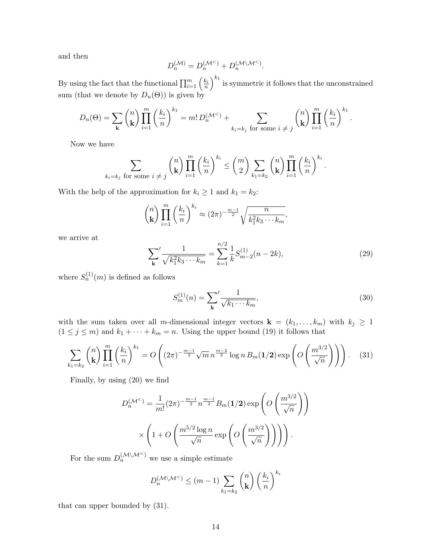and then

$$
D_n^{(\mathcal{M})} = D_n^{(\mathcal{M}^<)} + D_n^{(\mathcal{M} \backslash \mathcal{M}^<)}.
$$

By using the fact that the functional  $\prod_{i=1}^m \left(\frac{k_i}{n}\right)^{k_1}$  is symmetric it follows that the unconstrained sum (that we denote by  $D_n(\Theta)$ ) is given by

$$
D_n(\Theta) = \sum_{\mathbf{k}} \binom{n}{\mathbf{k}} \prod_{i=1}^m \left(\frac{k_i}{n}\right)^{k_1} = m! \, D_n^{(\mathcal{M}^{\leq})} + \sum_{k_i = k_j \text{ for some } i \neq j} \binom{n}{\mathbf{k}} \prod_{i=1}^m \left(\frac{k_i}{n}\right)^{k_1}.
$$

Now we have

$$
\sum_{k_i=k_j \text{ for some } i \neq j} {n \choose k} \prod_{i=1}^m {k_i \choose n}^{k_i} \leq {m \choose 2} \sum_{k_1=k_2} {n \choose k} \prod_{i=1}^m {k_i \choose n}^{k_i}.
$$

With the help of the approximation for  $k_i \geq 1$  and  $k_1 = k_2$ :

$$
\binom{n}{\mathbf{k}} \prod_{i=1}^{m} \left(\frac{k_i}{n}\right)^{k_i} \approx (2\pi)^{-\frac{m-1}{2}} \sqrt{\frac{n}{k_1^2 k_3 \cdots k_m}},
$$

we arrive at

$$
\sum_{\mathbf{k}}' \frac{1}{\sqrt{k_1^2 k_3 \cdots k_m}} = \sum_{k=1}^{n/2} \frac{1}{k} S_{m-2}^{(1)}(n-2k),\tag{29}
$$

where  $S_n^{(1)}(m)$  is defined as follows

$$
S_m^{(1)}(n) = \sum_{\mathbf{k}}' \frac{1}{\sqrt{k_1 \cdots k_m}},\tag{30}
$$

with the sum taken over all m-dimensional integer vectors  $\mathbf{k} = (k_1, \ldots, k_m)$  with  $k_j \geq 1$  $(1 \leq j \leq m)$  and  $k_1 + \cdots + k_m = n$ . Using the upper bound (19) it follows that

$$
\sum_{k_1=k_2} \binom{n}{k} \prod_{i=1}^m \left(\frac{k_i}{n}\right)^{k_1} = O\left((2\pi)^{-\frac{m-1}{2}} \sqrt{m} n^{\frac{m-2}{2}} \log n B_m(1/2) \exp\left(O\left(\frac{m^{3/2}}{\sqrt{n}}\right)\right)\right). \tag{31}
$$

Finally, by using (20) we find

$$
D_n^{(\mathcal{M}^{\le})} = \frac{1}{m!} (2\pi)^{-\frac{m-1}{2}} n^{\frac{m-1}{2}} B_m(1/2) \exp\left(O\left(\frac{m^{3/2}}{\sqrt{n}}\right)\right)
$$

$$
\times \left(1 + O\left(\frac{m^{5/2} \log n}{\sqrt{n}} \exp\left(O\left(\frac{m^{3/2}}{\sqrt{n}}\right)\right)\right)\right).
$$

For the sum  $D_n^{(\mathcal{M}\setminus\mathcal{M}^{\leq})}$  we use a simple estimate

$$
D_n^{(\mathcal{M}\setminus\mathcal{M}^{\leq})} \leq (m-1) \sum_{k_1=k_2} \binom{n}{\mathbf{k}} \left(\frac{k_i}{n}\right)^{k_i}
$$

that can upper bounded by (31).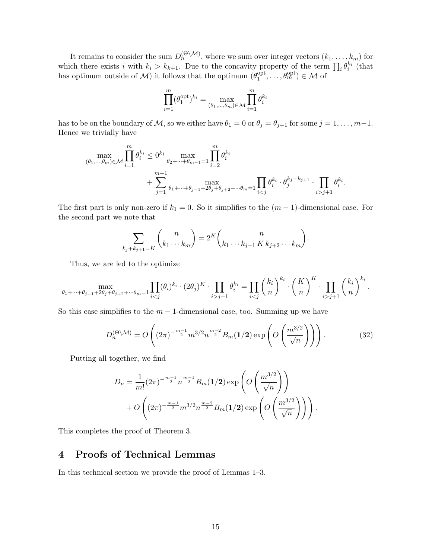It remains to consider the sum  $D_n^{(\Theta \setminus \mathcal{M})}$ , where we sum over integer vectors  $(k_1, \ldots, k_m)$  for which there exists i with  $k_i > k_{k+1}$ . Due to the concavity property of the term  $\prod_i \theta_i^{k_i}$  (that has optimum outside of M it follows that the optimum  $(\theta_1^{\text{opt}})$  $\varrho_{1}^{\text{opt}}, \ldots, \vartheta_{m}^{\text{opt}}) \in \mathcal{M}$  of

$$
\prod_{i=1}^m (\theta_1^{\text{opt}})^{k_i} = \max_{(\theta_1, \dots, \theta_m) \in \mathcal{M}} \prod_{i=1}^m \theta_i^{k_i}
$$

has to be on the boundary of M, so we either have  $\theta_1 = 0$  or  $\theta_j = \theta_{j+1}$  for some  $j = 1, \ldots, m-1$ . Hence we trivially have

$$
\begin{aligned} \max_{(\theta_1,\ldots,\theta_m)\in\mathcal{M}}\prod_{i=1}^m\theta_i^{k_i}&\leq 0^{k_1}\max_{\theta_2+\cdots+\theta_{m-1}=1}\prod_{i=2}^m\theta_i^{k_i}\\ &+\sum_{j=1}^{m-1}\max_{\theta_1+\cdots+\theta_{j-1}+2\theta_j+\theta_{j+2}+\cdots\theta_m=1}\prod_{ij+1}\theta_i^{k_i}.\end{aligned}
$$

The first part is only non-zero if  $k_1 = 0$ . So it simplifies to the  $(m-1)$ -dimensional case. For the second part we note that

$$
\sum_{k_j + k_{j+1} = K} {n \choose k_1 \cdots k_m} = 2^K {n \choose k_1 \cdots k_{j-1} K k_{j+2} \cdots k_m}.
$$

Thus, we are led to the optimize

$$
\max_{\theta_1+\cdots+\theta_{j-1}+2\theta_j+\theta_{j+2}+\cdots+\theta_m=1} \prod_{ij+1} \theta_i^{k_i} = \prod_{ij+1} \left(\frac{k_i}{n}\right)^{k_i}.
$$

So this case simplifies to the  $m-1$ -dimensional case, too. Summing up we have

$$
D_n^{(\Theta \setminus \mathcal{M})} = O\left( (2\pi)^{-\frac{m-1}{2}} m^{3/2} n^{\frac{m-2}{2}} B_m(\mathbf{1}/2) \exp\left( O\left(\frac{m^{3/2}}{\sqrt{n}}\right) \right) \right).
$$
 (32)

Putting all together, we find

$$
D_n = \frac{1}{m!} (2\pi)^{-\frac{m-1}{2}} n^{\frac{m-1}{2}} B_m(1/2) \exp\left(O\left(\frac{m^{3/2}}{\sqrt{n}}\right)\right) + O\left((2\pi)^{-\frac{m-1}{2}} m^{3/2} n^{\frac{m-2}{2}} B_m(1/2) \exp\left(O\left(\frac{m^{3/2}}{\sqrt{n}}\right)\right)\right).
$$

This completes the proof of Theorem 3.

# 4 Proofs of Technical Lemmas

In this technical section we provide the proof of Lemmas 1–3.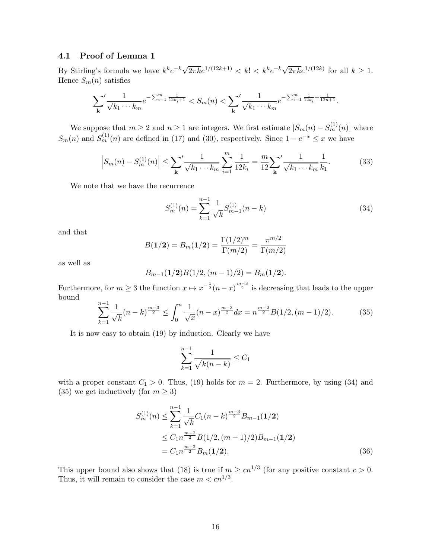#### 4.1 Proof of Lemma 1

By Stirling's formula we have  $k^k e^{-k} \sqrt{2\pi k} e^{1/(12k+1)} < k! < k^k e^{-k} \sqrt{2\pi k} e^{1/(12k)}$  for all  $k \geq 1$ . Hence  $S_m(n)$  satisfies

$$
\sum_{\mathbf{k}}' \frac{1}{\sqrt{k_1\cdots k_m}} e^{-\sum_{i=1}^m\frac{1}{12k_i+1}} < S_m(n) < \sum_{\mathbf{k}}' \frac{1}{\sqrt{k_1\cdots k_m}} e^{-\sum_{i=1}^m\frac{1}{12k_i} + \frac{1}{12n+1}}.
$$

We suppose that  $m \ge 2$  and  $n \ge 1$  are integers. We first estimate  $|S_m(n) - S_m^{(1)}(n)|$  where  $S_m(n)$  and  $S_m^{(1)}(n)$  are defined in (17) and (30), respectively. Since  $1-e^{-x} \leq x$  we have

$$
\left| S_m(n) - S_m^{(1)}(n) \right| \le \sum_{\mathbf{k}}' \frac{1}{\sqrt{k_1 \cdots k_m}} \sum_{i=1}^m \frac{1}{12k_i} = \frac{m}{12} \sum_{\mathbf{k}}' \frac{1}{\sqrt{k_1 \cdots k_m}} \frac{1}{k_1}.
$$
 (33)

We note that we have the recurrence

$$
S_m^{(1)}(n) = \sum_{k=1}^{n-1} \frac{1}{\sqrt{k}} S_{m-1}^{(1)}(n-k)
$$
\n(34)

and that

$$
B(1/2) = B_m(1/2) = \frac{\Gamma(1/2)^m}{\Gamma(m/2)} = \frac{\pi^{m/2}}{\Gamma(m/2)}
$$

as well as

$$
B_{m-1}(1/2)B(1/2,(m-1)/2)=B_m(1/2).
$$

Furthermore, for  $m \geq 3$  the function  $x \mapsto x^{-\frac{1}{2}}(n-x)^{\frac{m-3}{2}}$  is decreasing that leads to the upper bound

$$
\sum_{k=1}^{n-1} \frac{1}{\sqrt{k}} (n-k)^{\frac{m-3}{2}} \le \int_0^n \frac{1}{\sqrt{x}} (n-x)^{\frac{m-3}{2}} dx = n^{\frac{m-2}{2}} B(1/2, (m-1)/2). \tag{35}
$$

It is now easy to obtain (19) by induction. Clearly we have

$$
\sum_{k=1}^{n-1} \frac{1}{\sqrt{k(n-k)}} \le C_1
$$

with a proper constant  $C_1 > 0$ . Thus, (19) holds for  $m = 2$ . Furthermore, by using (34) and (35) we get inductively (for  $m \geq 3$ )

$$
S_m^{(1)}(n) \le \sum_{k=1}^{n-1} \frac{1}{\sqrt{k}} C_1(n-k)^{\frac{m-3}{2}} B_{m-1}(1/2)
$$
  
\n
$$
\le C_1 n^{\frac{m-2}{2}} B(1/2, (m-1)/2) B_{m-1}(1/2)
$$
  
\n
$$
= C_1 n^{\frac{m-2}{2}} B_m(1/2). \tag{36}
$$

This upper bound also shows that (18) is true if  $m \geq cn^{1/3}$  (for any positive constant  $c > 0$ . Thus, it will remain to consider the case  $m < cn^{1/3}$ .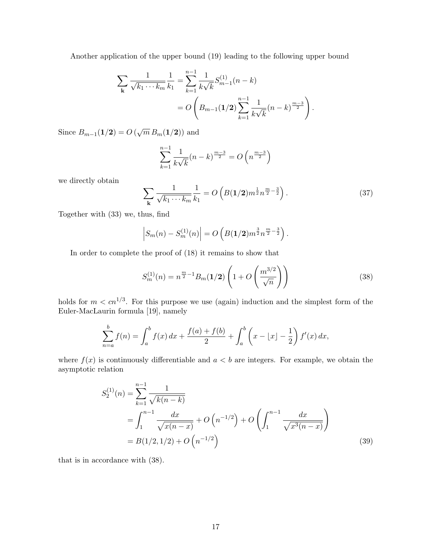Another application of the upper bound (19) leading to the following upper bound

$$
\sum_{\mathbf{k}} \frac{1}{\sqrt{k_1 \cdots k_m}} \frac{1}{k_1} = \sum_{k=1}^{n-1} \frac{1}{k \sqrt{k}} S_{m-1}^{(1)}(n-k)
$$
  
=  $O\left(B_{m-1}(1/2) \sum_{k=1}^{n-1} \frac{1}{k \sqrt{k}} (n-k)^{\frac{m-3}{2}}\right).$ 

Since  $B_{m-1}(1/2) = O(\sqrt{m} B_m(1/2))$  and

$$
\sum_{k=1}^{n-1} \frac{1}{k\sqrt{k}} (n-k)^{\frac{m-3}{2}} = O\left(n^{\frac{m-3}{2}}\right)
$$

we directly obtain

$$
\sum_{\mathbf{k}} \frac{1}{\sqrt{k_1 \cdots k_m}} \frac{1}{k_1} = O\left(B(1/2) m^{\frac{1}{2}} n^{\frac{m}{2} - \frac{3}{2}}\right).
$$
 (37)

Together with (33) we, thus, find

$$
\left|S_m(n) - S_m^{(1)}(n)\right| = O\left(B(1/2)m^{\frac{3}{2}}n^{\frac{m}{2}-\frac{3}{2}}\right).
$$

In order to complete the proof of (18) it remains to show that

$$
S_m^{(1)}(n) = n^{\frac{m}{2}-1} B_m(\mathbf{1}/2) \left( 1 + O\left(\frac{m^{3/2}}{\sqrt{n}}\right) \right)
$$
 (38)

holds for  $m < cn^{1/3}$ . For this purpose we use (again) induction and the simplest form of the Euler-MacLaurin formula [19], namely

$$
\sum_{n=a}^{b} f(n) = \int_{a}^{b} f(x) dx + \frac{f(a) + f(b)}{2} + \int_{a}^{b} \left( x - \lfloor x \rfloor - \frac{1}{2} \right) f'(x) dx,
$$

where  $f(x)$  is continuously differentiable and  $a < b$  are integers. For example, we obtain the asymptotic relation

$$
S_2^{(1)}(n) = \sum_{k=1}^{n-1} \frac{1}{\sqrt{k(n-k)}}
$$
  
=  $\int_1^{n-1} \frac{dx}{\sqrt{x(n-x)}} + O(n^{-1/2}) + O\left(\int_1^{n-1} \frac{dx}{\sqrt{x^3(n-x)}}\right)$   
=  $B(1/2, 1/2) + O(n^{-1/2})$  (39)

that is in accordance with (38).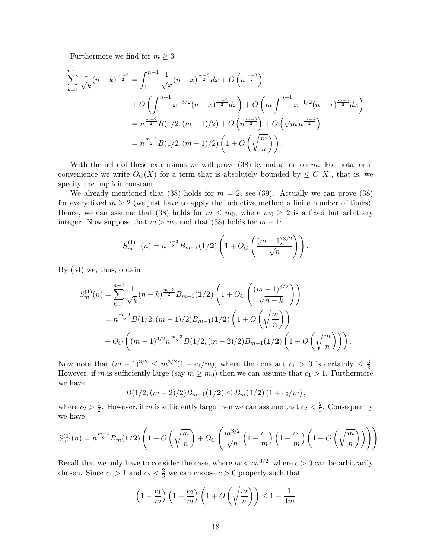Furthermore we find for  $m \geq 3$ 

$$
\sum_{k=1}^{n-1} \frac{1}{\sqrt{k}} (n-k)^{\frac{m-3}{2}} = \int_{1}^{n-1} \frac{1}{\sqrt{x}} (n-x)^{\frac{m-3}{2}} dx + O\left(n^{\frac{m-3}{2}}\right)
$$
  
+  $O\left(\int_{1}^{n-1} x^{-3/2} (n-x)^{\frac{m-3}{2}} dx\right) + O\left(m \int_{1}^{n-1} x^{-1/2} (n-x)^{\frac{m-5}{2}} dx\right)$   
=  $n^{\frac{m-2}{2}} B(1/2, (m-1)/2) + O\left(n^{\frac{m-3}{2}}\right) + O\left(\sqrt{m} n^{\frac{m-4}{2}}\right)$   
=  $n^{\frac{m-2}{2}} B(1/2, (m-1)/2) \left(1 + O\left(\sqrt{\frac{m}{n}}\right)\right).$ 

With the help of these expansions we will prove  $(38)$  by induction on m. For notational convenience we write  $O_C(X)$  for a term that is absolutely bounded by  $\leq C |X|$ , that is, we specify the implicit constant.

We already mentioned that (38) holds for  $m = 2$ , see (39). Actually we can prove (38) for every fixed  $m \geq 2$  (we just have to apply the inductive method a finite number of times). Hence, we can assume that (38) holds for  $m \leq m_0$ , where  $m_0 \geq 2$  is a fixed but arbitrary integer. Now suppose that  $m > m_0$  and that (38) holds for  $m - 1$ :

$$
S_{m-1}^{(1)}(n) = n^{\frac{m-3}{2}} B_{m-1}(\mathbf{1}/2) \left(1 + O_C\left(\frac{(m-1)^{3/2}}{\sqrt{n}}\right)\right).
$$

By (34) we, thus, obtain

$$
S_m^{(1)}(n) = \sum_{k=1}^{n-1} \frac{1}{\sqrt{k}} (n-k)^{\frac{m-3}{2}} B_{m-1}(1/2) \left( 1 + O_C\left(\frac{(m-1)^{3/2}}{\sqrt{n-k}}\right) \right)
$$
  
=  $n^{\frac{m-2}{2}} B(1/2, (m-1)/2) B_{m-1}(1/2) \left( 1 + O\left(\sqrt{\frac{m}{n}}\right) \right)$   
+  $O_C\left( (m-1)^{3/2} n^{\frac{m-3}{2}} B(1/2, (m-2)/2) B_{m-1}(1/2) \left( 1 + O\left(\sqrt{\frac{m}{n}}\right) \right) \right).$ 

Now note that  $(m-1)^{3/2} \leq m^{3/2}(1-c_1/m)$ , where the constant  $c_1 > 0$  is certainly  $\leq \frac{3}{2}$  $\frac{3}{2}$ . However, if m is sufficiently large (say  $m \geq m_0$ ) then we can assume that  $c_1 > 1$ . Furthermore we have

$$
B(1/2,(m-2)/2)B_{m-1}(1/2)\leq B_m(1/2)(1+c_2/m),
$$

where  $c_2 > \frac{1}{2}$  $\frac{1}{2}$ . However, if *m* is sufficiently large then we can assume that  $c_2 < \frac{2}{3}$  $\frac{2}{3}$ . Consequently we have

$$
S_m^{(1)}(n) = n^{\frac{m-2}{2}} B_m(1/2) \left( 1 + O\left(\sqrt{\frac{m}{n}}\right) + O_C\left(\frac{m^{3/2}}{\sqrt{n}} \left(1 - \frac{c_1}{m}\right) \left(1 + \frac{c_2}{m}\right) \left(1 + O\left(\sqrt{\frac{m}{n}}\right)\right) \right) \right).
$$

Recall that we only have to consider the case, where  $m < cn^{3/2}$ , where  $c > 0$  can be arbitrarily chosen. Since  $c_1 > 1$  and  $c_2 < \frac{2}{3}$  we can choose  $c > 0$  properly such that

$$
\left(1 - \frac{c_1}{m}\right)\left(1 + \frac{c_2}{m}\right)\left(1 + O\left(\sqrt{\frac{m}{n}}\right)\right) \le 1 - \frac{1}{4m}
$$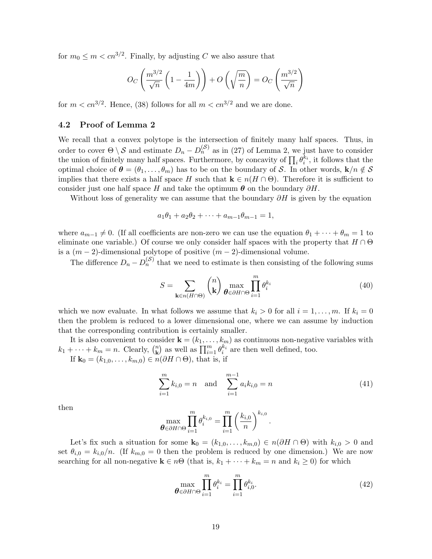for  $m_0 \le m < cn^{3/2}$ . Finally, by adjusting C we also assure that

$$
O_C\left(\frac{m^{3/2}}{\sqrt{n}}\left(1-\frac{1}{4m}\right)\right) + O\left(\sqrt{\frac{m}{n}}\right) = O_C\left(\frac{m^{3/2}}{\sqrt{n}}\right)
$$

for  $m < cn^{3/2}$ . Hence, (38) follows for all  $m < cn^{3/2}$  and we are done.

### 4.2 Proof of Lemma 2

We recall that a convex polytope is the intersection of finitely many half spaces. Thus, in order to cover  $\Theta \setminus \mathcal{S}$  and estimate  $D_n - D_n^{(\mathcal{S})}$  as in (27) of Lemma 2, we just have to consider the union of finitely many half spaces. Furthermore, by concavity of  $\prod_i \theta_i^{k_i}$ , it follows that the optimal choice of  $\theta = (\theta_1, \ldots, \theta_m)$  has to be on the boundary of S. In other words,  $\mathbf{k}/n \notin \mathcal{S}$ implies that there exists a half space H such that  $\mathbf{k} \in n(H \cap \Theta)$ . Therefore it is sufficient to consider just one half space H and take the optimum  $\theta$  on the boundary  $\partial H$ .

Without loss of generality we can assume that the boundary  $\partial H$  is given by the equation

$$
a_1\theta_1 + a_2\theta_2 + \dots + a_{m-1}\theta_{m-1} = 1,
$$

where  $a_{m-1} \neq 0$ . (If all coefficients are non-zero we can use the equation  $\theta_1 + \cdots + \theta_m = 1$  to eliminate one variable.) Of course we only consider half spaces with the property that  $H \cap \Theta$ is a  $(m-2)$ -dimensional polytope of positive  $(m-2)$ -dimensional volume.

The difference  $D_n - D_n^{(S)}$  that we need to estimate is then consisting of the following sums

$$
S = \sum_{\mathbf{k} \in n(H \cap \Theta)} \binom{n}{\mathbf{k}} \max_{\boldsymbol{\theta} \in \partial H \cap \Theta} \prod_{i=1}^{m} \theta_i^{k_i}
$$
(40)

which we now evaluate. In what follows we assume that  $k_i > 0$  for all  $i = 1, \ldots, m$ . If  $k_i = 0$ then the problem is reduced to a lower dimensional one, where we can assume by induction that the corresponding contribution is certainly smaller.

It is also convenient to consider  $\mathbf{k} = (k_1, \ldots, k_m)$  as continuous non-negative variables with  $k_1 + \cdots + k_m = n.$  Clearly,  $\binom{n}{k}$  $\mathbf{k}$ ) as well as  $\prod_{i=1}^{m} \theta_i^{k_i}$  are then well defined, too.

If  $\mathbf{k}_0 = (k_{1,0}, \ldots, k_{m,0}) \in \mathbb{R}(\partial H \cap \Theta)$ , that is, if

$$
\sum_{i=1}^{m} k_{i,0} = n \quad \text{and} \quad \sum_{i=1}^{m-1} a_i k_{i,0} = n \tag{41}
$$

.

then

$$
\max_{\boldsymbol{\theta}\in\partial H\cap\Theta}\prod_{i=1}^m\theta_i^{k_{i,0}}=\prod_{i=1}^m\left(\frac{k_{i,0}}{n}\right)^{k_{i,0}}
$$

Let's fix such a situation for some  $\mathbf{k}_0 = (k_{1,0}, \ldots, k_{m,0}) \in n(\partial H \cap \Theta)$  with  $k_{i,0} > 0$  and set  $\theta_{i,0} = k_{i,0}/n$ . (If  $k_{m,0} = 0$  then the problem is reduced by one dimension.) We are now searching for all non-negative  $\mathbf{k} \in n\Theta$  (that is,  $k_1 + \cdots + k_m = n$  and  $k_i \geq 0$ ) for which

$$
\max_{\boldsymbol{\theta} \in \partial H \cap \Theta} \prod_{i=1}^{m} \theta_i^{k_i} = \prod_{i=1}^{m} \theta_{i,0}^{k_i}.
$$
\n(42)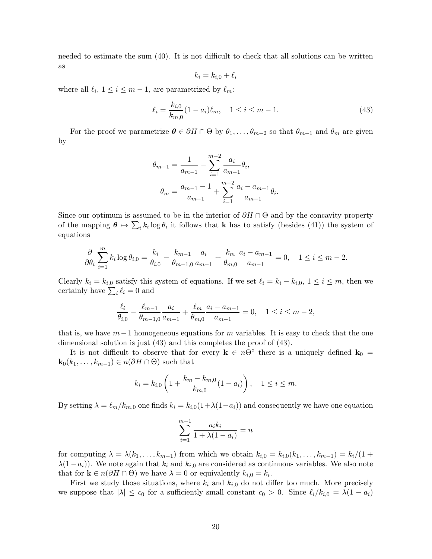needed to estimate the sum (40). It is not difficult to check that all solutions can be written as

$$
k_i = k_{i,0} + \ell_i
$$

where all  $\ell_i$ ,  $1 \leq i \leq m-1$ , are parametrized by  $\ell_m$ :

$$
\ell_i = \frac{k_{i,0}}{k_{m,0}} (1 - a_i) \ell_m, \quad 1 \le i \le m - 1.
$$
\n(43)

For the proof we parametrize  $\theta \in \partial H \cap \Theta$  by  $\theta_1, \ldots, \theta_{m-2}$  so that  $\theta_{m-1}$  and  $\theta_m$  are given by

$$
\theta_{m-1} = \frac{1}{a_{m-1}} - \sum_{i=1}^{m-2} \frac{a_i}{a_{m-1}} \theta_i,
$$

$$
\theta_m = \frac{a_{m-1} - 1}{a_{m-1}} + \sum_{i=1}^{m-2} \frac{a_i - a_{m-1}}{a_{m-1}} \theta_i.
$$

Since our optimum is assumed to be in the interior of  $\partial H \cap \Theta$  and by the concavity property of the mapping  $\theta \mapsto \sum_i k_i \log \theta_i$  it follows that **k** has to satisfy (besides (41)) the system of equations

$$
\frac{\partial}{\partial \theta_i} \sum_{i=1}^m k_i \log \theta_{i,0} = \frac{k_i}{\theta_{i,0}} - \frac{k_{m-1}}{\theta_{m-1,0}} \frac{a_i}{a_{m-1}} + \frac{k_m}{\theta_{m,0}} \frac{a_i - a_{m-1}}{a_{m-1}} = 0, \quad 1 \le i \le m-2.
$$

Clearly  $k_i = k_{i,0}$  satisfy this system of equations. If we set  $\ell_i = k_i - k_{i,0}, 1 \le i \le m$ , then we certainly have  $\sum_i \ell_i = 0$  and

$$
\frac{\ell_i}{\theta_{i,0}} - \frac{\ell_{m-1}}{\theta_{m-1,0}} \frac{a_i}{a_{m-1}} + \frac{\ell_m}{\theta_{m,0}} \frac{a_i - a_{m-1}}{a_{m-1}} = 0, \quad 1 \le i \le m-2,
$$

that is, we have  $m-1$  homogeneous equations for m variables. It is easy to check that the one dimensional solution is just (43) and this completes the proof of (43).

It is not difficult to observe that for every  $\mathbf{k} \in n\Theta^{\circ}$  there is a uniquely defined  $\mathbf{k}_0 =$  $\mathbf{k}_0(k_1,\ldots,k_{m-1})\in n(\partial H\cap\Theta)$  such that

$$
k_i = k_{i,0} \left( 1 + \frac{k_m - k_{m,0}}{k_{m,0}} (1 - a_i) \right), \quad 1 \le i \le m.
$$

By setting  $\lambda = \ell_m/k_{m,0}$  one finds  $k_i = k_{i,0}(1+\lambda(1-a_i))$  and consequently we have one equation

$$
\sum_{i=1}^{m-1} \frac{a_i k_i}{1 + \lambda (1 - a_i)} = n
$$

for computing  $\lambda = \lambda(k_1, \ldots, k_{m-1})$  from which we obtain  $k_{i,0} = k_{i,0}(k_1, \ldots, k_{m-1}) = k_i/(1 +$  $\lambda(1-a_i)$ ). We note again that  $k_i$  and  $k_{i,0}$  are considered as continuous variables. We also note that for  $\mathbf{k} \in n(\partial H \cap \Theta)$  we have  $\lambda = 0$  or equivalently  $k_{i,0} = k_i$ .

First we study those situations, where  $k_i$  and  $k_{i,0}$  do not differ too much. More precisely we suppose that  $|\lambda| \leq c_0$  for a sufficiently small constant  $c_0 > 0$ . Since  $\ell_i/k_{i,0} = \lambda(1 - a_i)$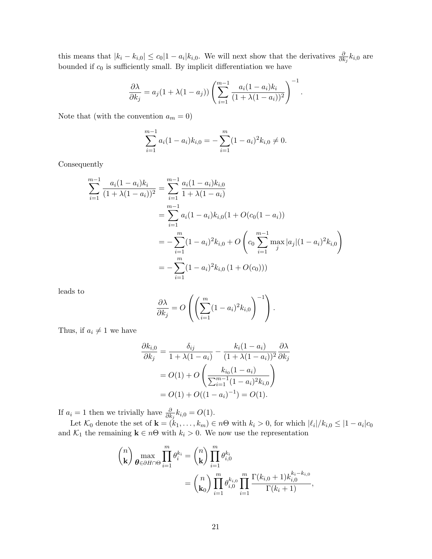this means that  $|k_i - k_{i,0}| \le c_0 |1 - a_i| k_{i,0}$ . We will next show that the derivatives  $\frac{\partial}{\partial k_j} k_{i,0}$  are bounded if  $c_0$  is sufficiently small. By implicit differentiation we have

$$
\frac{\partial \lambda}{\partial k_j} = a_j (1 + \lambda (1 - a_j)) \left( \sum_{i=1}^{m-1} \frac{a_i (1 - a_i) k_i}{(1 + \lambda (1 - a_i))^2} \right)^{-1}.
$$

Note that (with the convention  $a_m = 0$ )

$$
\sum_{i=1}^{m-1} a_i (1 - a_i) k_{i,0} = -\sum_{i=1}^m (1 - a_i)^2 k_{i,0} \neq 0.
$$

Consequently

$$
\sum_{i=1}^{m-1} \frac{a_i(1-a_i)k_i}{(1+\lambda(1-a_i))^2} = \sum_{i=1}^{m-1} \frac{a_i(1-a_i)k_{i,0}}{1+\lambda(1-a_i)}
$$
  
= 
$$
\sum_{i=1}^{m-1} a_i(1-a_i)k_{i,0}(1+O(c_0(1-a_i))
$$
  
= 
$$
-\sum_{i=1}^{m} (1-a_i)^2k_{i,0} + O\left(c_0 \sum_{i=1}^{m-1} \max_j |a_j|(1-a_i)^2 k_{i,0}\right)
$$
  
= 
$$
-\sum_{i=1}^{m} (1-a_i)^2k_{i,0}(1+O(c_0)))
$$

leads to

$$
\frac{\partial \lambda}{\partial k_j} = O\left( \left( \sum_{i=1}^m (1 - a_i)^2 k_{i,0} \right)^{-1} \right).
$$

Thus, if  $a_i \neq 1$  we have

$$
\frac{\partial k_{i,0}}{\partial k_j} = \frac{\delta_{ij}}{1 + \lambda(1 - a_i)} - \frac{k_i(1 - a_i)}{(1 + \lambda(1 - a_i))^2} \frac{\partial \lambda}{\partial k_j}
$$

$$
= O(1) + O\left(\frac{k_{i_0}(1 - a_i)}{\sum_{i=1}^{m-1} (1 - a_i)^2 k_{i,0}}\right)
$$

$$
= O(1) + O((1 - a_i)^{-1}) = O(1).
$$

If  $a_i = 1$  then we trivially have  $\frac{\partial}{\partial k_j} k_{i,0} = O(1)$ .

Let  $\mathcal{K}_0$  denote the set of  $\mathbf{k} = (k_1, \ldots, k_m) \in n\Theta$  with  $k_i > 0$ , for which  $|\ell_i|/k_{i,0} \leq |1 - a_i|c_0$ and  $\mathcal{K}_1$  the remaining  $\mathbf{k} \in n\Theta$  with  $k_i > 0$ . We now use the representation

$$
\binom{n}{k} \max_{\theta \in \partial H \cap \Theta} \prod_{i=1}^{m} \theta_i^{k_i} = \binom{n}{k} \prod_{i=1}^{m} \theta_{i,0}^{k_i}
$$

$$
= \binom{n}{k_0} \prod_{i=1}^{m} \theta_{i,0}^{k_{i,0}} \prod_{i=1}^{m} \frac{\Gamma(k_{i,0} + 1)k_{i,0}^{k_i - k_{i,0}}}{\Gamma(k_i + 1)},
$$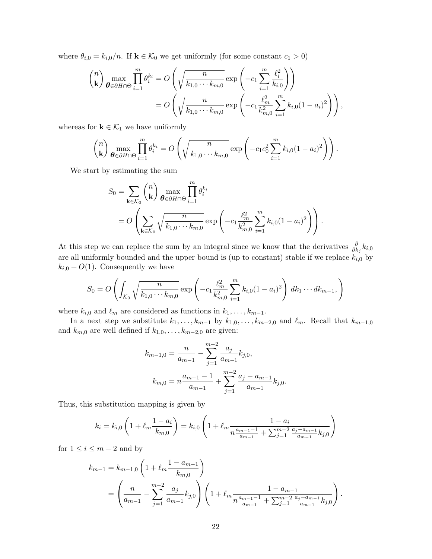where  $\theta_{i,0} = k_{i,0}/n$ . If  $\mathbf{k} \in \mathcal{K}_0$  we get uniformly (for some constant  $c_1 > 0$ )

$$
\binom{n}{k} \max_{\theta \in \partial H \cap \Theta} \prod_{i=1}^{m} \theta_i^{k_i} = O\left(\sqrt{\frac{n}{k_{1,0} \cdots k_{m,0}}} \exp\left(-c_1 \sum_{i=1}^{m} \frac{\ell_i^2}{k_{i,0}}\right)\right)
$$
  
= 
$$
O\left(\sqrt{\frac{n}{k_{1,0} \cdots k_{m,0}}} \exp\left(-c_1 \frac{\ell_m^2}{k_{m,0}^2} \sum_{i=1}^{m} k_{i,0} (1 - a_i)^2\right)\right),
$$

whereas for  $\mathbf{k} \in \mathcal{K}_1$  we have uniformly

$$
\binom{n}{\mathbf{k}}\max_{\boldsymbol{\theta}\in\partial H\cap\Theta}\prod_{i=1}^m\theta_i^{k_i}=O\left(\sqrt{\frac{n}{k_{1,0}\cdots k_{m,0}}}\exp\left(-c_1c_0^2\sum_{i=1}^m k_{i,0}(1-a_i)^2\right)\right).
$$

We start by estimating the sum

$$
S_0 = \sum_{\mathbf{k}\in\mathcal{K}_0} {n \choose \mathbf{k}} \max_{\boldsymbol{\theta}\in\partial H\cap\Theta} \prod_{i=1}^m \theta_i^{k_i}
$$
  
=  $O\left(\sum_{\mathbf{k}\in\mathcal{K}_0} \sqrt{\frac{n}{k_{1,0}\cdots k_{m,0}}} \exp\left(-c_1 \frac{\ell_m^2}{k_{m,0}^2} \sum_{i=1}^m k_{i,0} (1-a_i)^2\right)\right).$ 

At this step we can replace the sum by an integral since we know that the derivatives  $\frac{\partial}{\partial k_j} k_{i,0}$ are all uniformly bounded and the upper bound is (up to constant) stable if we replace  $k_{i,0}$  by  $k_{i,0} + O(1)$ . Consequently we have

$$
S_0 = O\left(\int_{\mathcal{K}_0} \sqrt{\frac{n}{k_{1,0} \cdots k_{m,0}}} \exp\left(-c_1 \frac{\ell_m^2}{k_{m,0}^2} \sum_{i=1}^m k_{i,0} (1 - a_i)^2\right) dk_1 \cdots dk_{m-1},\right)
$$

where  $k_{i,0}$  and  $\ell_m$  are considered as functions in  $k_1, \ldots, k_{m-1}$ .

In a next step we substitute  $k_1, \ldots, k_{m-1}$  by  $k_{1,0}, \ldots, k_{m-2,0}$  and  $\ell_m$ . Recall that  $k_{m-1,0}$ and  $k_{m,0}$  are well defined if  $k_{1,0},\ldots,k_{m-2,0}$  are given:

$$
k_{m-1,0} = \frac{n}{a_{m-1}} - \sum_{j=1}^{m-2} \frac{a_j}{a_{m-1}} k_{j,0},
$$
  

$$
k_{m,0} = n \frac{a_{m-1} - 1}{a_{m-1}} + \sum_{j=1}^{m-2} \frac{a_j - a_{m-1}}{a_{m-1}} k_{j,0}.
$$

Thus, this substitution mapping is given by

$$
k_i = k_{i,0} \left( 1 + \ell_m \frac{1 - a_i}{k_{m,0}} \right) = k_{i,0} \left( 1 + \ell_m \frac{1 - a_i}{n \frac{a_{m-1} - 1}{a_{m-1}} + \sum_{j=1}^{m-2} \frac{a_j - a_{m-1}}{a_{m-1}} k_{j,0}} \right)
$$

for  $1 \leq i \leq m-2$  and by

$$
k_{m-1} = k_{m-1,0} \left( 1 + \ell_m \frac{1 - a_{m-1}}{k_{m,0}} \right)
$$
  
= 
$$
\left( \frac{n}{a_{m-1}} - \sum_{j=1}^{m-2} \frac{a_j}{a_{m-1}} k_{j,0} \right) \left( 1 + \ell_m \frac{1 - a_{m-1}}{n \frac{a_{m-1}-1}{a_{m-1}} + \sum_{j=1}^{m-2} \frac{a_j - a_{m-1}}{a_{m-1}} k_{j,0}} \right).
$$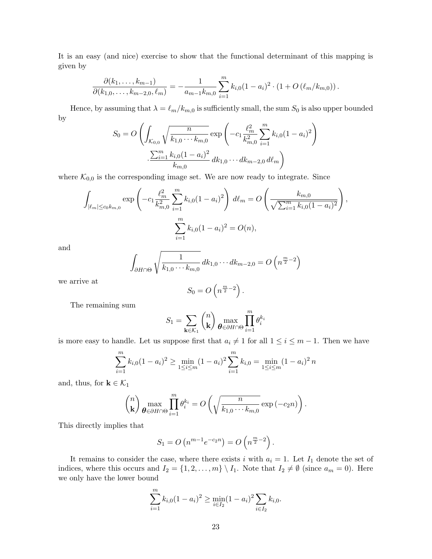It is an easy (and nice) exercise to show that the functional determinant of this mapping is given by

$$
\frac{\partial (k_1,\ldots,k_{m-1})}{\partial (k_{1,0},\ldots,k_{m-2,0},\ell_m)}=-\frac{1}{a_{m-1}k_{m,0}}\sum_{i=1}^mk_{i,0}(1-a_i)^2\cdot(1+O(\ell_m/k_{m,0}))\,.
$$

Hence, by assuming that  $\lambda = \ell_m/k_{m,0}$  is sufficiently small, the sum  $S_0$  is also upper bounded by

$$
S_0 = O\left(\int_{\mathcal{K}_{0,0}} \sqrt{\frac{n}{k_{1,0} \cdots k_{m,0}}} \exp\left(-c_1 \frac{\ell_m^2}{k_{m,0}^2} \sum_{i=1}^m k_{i,0} (1 - a_i)^2\right) \cdot \frac{\sum_{i=1}^m k_{i,0} (1 - a_i)^2}{k_{m,0}} dk_{1,0} \cdots dk_{m-2,0} d\ell_m\right)
$$

where  $\mathcal{K}_{0,0}$  is the corresponding image set. We are now ready to integrate. Since

$$
\int_{|\ell_m| \le c_0 k_{m,0}} \exp\left(-c_1 \frac{\ell_m^2}{k_{m,0}^2} \sum_{i=1}^m k_{i,0} (1 - a_i)^2\right) d\ell_m = O\left(\frac{k_{m,0}}{\sqrt{\sum_{i=1}^m k_{i,0} (1 - a_i)^2}}\right),
$$

$$
\sum_{i=1}^m k_{i,0} (1 - a_i)^2 = O(n),
$$

and

$$
\int_{\partial H \cap \Theta} \sqrt{\frac{1}{k_{1,0} \cdots k_{m,0}}} \, dk_{1,0} \cdots dk_{m-2,0} = O\left(n^{\frac{m}{2}-2}\right)
$$

we arrive at

$$
S_0 = O\left(n^{\frac{m}{2}-2}\right).
$$

The remaining sum

$$
S_1 = \sum_{\mathbf{k} \in \mathcal{K}_1} {n \choose \mathbf{k}} \max_{\boldsymbol{\theta} \in \partial H \cap \Theta} \prod_{i=1}^m \theta_i^{k_i}
$$

is more easy to handle. Let us suppose first that  $a_i \neq 1$  for all  $1 \leq i \leq m-1$ . Then we have

$$
\sum_{i=1}^{m} k_{i,0} (1 - a_i)^2 \ge \min_{1 \le i \le m} (1 - a_i)^2 \sum_{i=1}^{m} k_{i,0} = \min_{1 \le i \le m} (1 - a_i)^2 n
$$

and, thus, for  $\mathbf{k} \in \mathcal{K}_1$ 

$$
\binom{n}{\mathbf{k}}\max_{\boldsymbol{\theta}\in\partial H\cap\Theta}\prod_{i=1}^m\theta_i^{k_i}=O\left(\sqrt{\frac{n}{k_{1,0}\cdots k_{m,0}}}\exp\left(-c_2n\right)\right).
$$

This directly implies that

$$
S_1 = O(n^{m-1}e^{-c_2n}) = O(n^{\frac{m}{2}-2}).
$$

It remains to consider the case, where there exists i with  $a_i = 1$ . Let  $I_1$  denote the set of indices, where this occurs and  $I_2 = \{1, 2, ..., m\} \setminus I_1$ . Note that  $I_2 \neq \emptyset$  (since  $a_m = 0$ ). Here we only have the lower bound

$$
\sum_{i=1}^{m} k_{i,0} (1 - a_i)^2 \ge \min_{i \in I_2} (1 - a_i)^2 \sum_{i \in I_2} k_{i,0}.
$$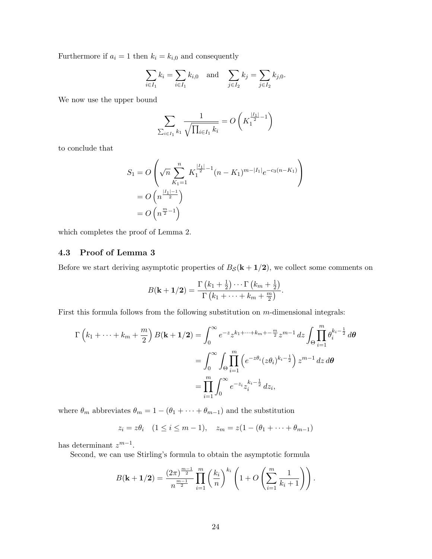Furthermore if  $a_i = 1$  then  $k_i = k_{i,0}$  and consequently

$$
\sum_{i \in I_1} k_i = \sum_{i \in I_1} k_{i,0} \text{ and } \sum_{j \in I_2} k_j = \sum_{j \in I_2} k_{j,0}.
$$

We now use the upper bound

$$
\sum_{\sum_{i \in I_1} k_1} \frac{1}{\sqrt{\prod_{i \in I_1} k_i}} = O\left(K_1^{\frac{|I_1|}{2} - 1}\right)
$$

to conclude that

$$
S_1 = O\left(\sqrt{n} \sum_{K_1=1}^n K_1^{\frac{|I_1|}{2}-1} (n - K_1)^{m - |I_1|} e^{-c_3(n - K_1)}\right)
$$
  
=  $O\left(n^{\frac{|I_1| - 1}{2}}\right)$   
=  $O\left(n^{\frac{m}{2} - 1}\right)$ 

which completes the proof of Lemma 2.

## 4.3 Proof of Lemma 3

Before we start deriving asymptotic properties of  $B_{\mathcal{S}}(\mathbf{k} + 1/\mathbf{2})$ , we collect some comments on

$$
B(\mathbf{k}+\mathbf{1}/2)=\frac{\Gamma\left(k_1+\frac{1}{2}\right)\cdots\Gamma\left(k_m+\frac{1}{2}\right)}{\Gamma\left(k_1+\cdots+k_m+\frac{m}{2}\right)}.
$$

First this formula follows from the following substitution on m-dimensional integrals:

$$
\Gamma(k_1 + \dots + k_m + \frac{m}{2}) B(\mathbf{k} + \mathbf{1}/2) = \int_0^\infty e^{-z} z^{k_1 + \dots + k_m + \frac{m}{2}} z^{m-1} dz \int_{\Theta} \prod_{i=1}^m \theta_i^{k_i - \frac{1}{2}} d\theta
$$
  
= 
$$
\int_0^\infty \int_{\Theta} \prod_{i=1}^m \left( e^{-z\theta_i} (z\theta_i)^{k_i - \frac{1}{2}} \right) z^{m-1} dz d\theta
$$
  
= 
$$
\prod_{i=1}^m \int_0^\infty e^{-z_i} z_i^{k_i - \frac{1}{2}} dz_i,
$$

where  $\theta_m$  abbreviates  $\theta_m = 1 - (\theta_1 + \cdots + \theta_{m-1})$  and the substitution

$$
z_i = z\theta_i
$$
  $(1 \le i \le m - 1),$   $z_m = z(1 - (\theta_1 + \dots + \theta_{m-1}))$ 

has determinant  $z^{m-1}$ .

Second, we can use Stirling's formula to obtain the asymptotic formula

$$
B(\mathbf{k} + \mathbf{1}/2) = \frac{(2\pi)^{\frac{m-1}{2}}}{n^{\frac{m-1}{2}}} \prod_{i=1}^{m} \left(\frac{k_i}{n}\right)^{k_i} \left(1 + O\left(\sum_{i=1}^{m} \frac{1}{k_i + 1}\right)\right).
$$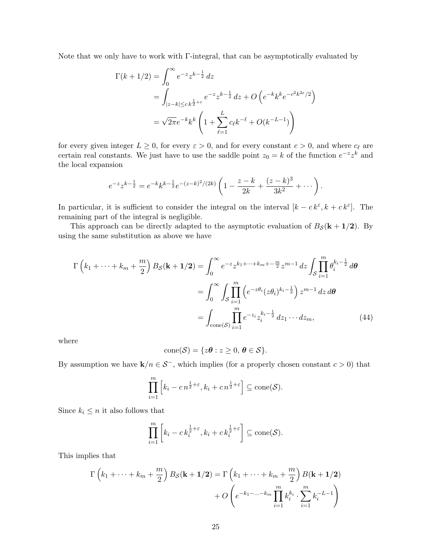Note that we only have to work with Γ-integral, that can be asymptotically evaluated by

$$
\Gamma(k + 1/2) = \int_0^\infty e^{-z} z^{k - \frac{1}{2}} dz
$$
  
= 
$$
\int_{|z - k| \le ck^{\frac{1}{2} + \varepsilon}} e^{-z} z^{k - \frac{1}{2}} dz + O\left(e^{-k} k^k e^{-c^2 k^{2\varepsilon}/2}\right)
$$
  
= 
$$
\sqrt{2\pi} e^{-k} k^k \left(1 + \sum_{\ell=1}^L c_\ell k^{-\ell} + O(k^{-L-1})\right)
$$

for every given integer  $L \geq 0$ , for every  $\varepsilon > 0$ , and for every constant  $c > 0$ , and where  $c_{\ell}$  are certain real constants. We just have to use the saddle point  $z_0 = k$  of the function  $e^{-z}z^k$  and the local expansion

$$
e^{-z}z^{k-\frac{1}{2}} = e^{-k}k^{k-\frac{1}{2}}e^{-(z-k)^2/(2k)}\left(1-\frac{z-k}{2k}+\frac{(z-k)^3}{3k^2}+\cdots\right).
$$

In particular, it is sufficient to consider the integral on the interval  $[k - ck^{\varepsilon}, k + ck^{\varepsilon}]$ . The remaining part of the integral is negligible.

This approach can be directly adapted to the asymptotic evaluation of  $B_{\mathcal{S}}(k + 1/2)$ . By using the same substitution as above we have

$$
\Gamma(k_1 + \dots + k_m + \frac{m}{2}) B_{\mathcal{S}}(\mathbf{k} + \mathbf{1}/2) = \int_0^\infty e^{-z} z^{k_1 + \dots + k_m + \frac{m}{2}} z^{m-1} dz \int_{\mathcal{S}} \prod_{i=1}^m \theta_i^{k_i - \frac{1}{2}} d\theta
$$
  
= 
$$
\int_0^\infty \int_{\mathcal{S}} \prod_{i=1}^m \left( e^{-z\theta_i} (z\theta_i)^{k_i - \frac{1}{2}} \right) z^{m-1} dz d\theta
$$
  
= 
$$
\int_{\text{cone}(\mathcal{S})} \prod_{i=1}^m e^{-z_i} z_i^{k_i - \frac{1}{2}} dz_1 \dots dz_m,
$$
 (44)

where

$$
\text{cone}(\mathcal{S}) = \{z\theta : z \geq 0, \, \theta \in \mathcal{S}\}.
$$

By assumption we have  $\mathbf{k}/n \in \mathcal{S}^-$ , which implies (for a properly chosen constant  $c > 0$ ) that

$$
\prod_{i=1}^m \left[ k_i - c n^{\frac{1}{2} + \varepsilon}, k_i + c n^{\frac{1}{2} + \varepsilon} \right] \subseteq \text{cone}(\mathcal{S}).
$$

Since  $k_i \leq n$  it also follows that

$$
\prod_{i=1}^{m} \left[ k_i - c k_i^{\frac{1}{2} + \varepsilon}, k_i + c k_i^{\frac{1}{2} + \varepsilon} \right] \subseteq \text{cone}(\mathcal{S}).
$$

This implies that

$$
\Gamma(k_1 + \dots + k_m + \frac{m}{2}) B_{\mathcal{S}}(\mathbf{k} + \mathbf{1}/2) = \Gamma(k_1 + \dots + k_m + \frac{m}{2}) B(\mathbf{k} + \mathbf{1}/2)
$$

$$
+ O\left(e^{-k_1 - \dots - k_m} \prod_{i=1}^m k_i^{k_i} \cdot \sum_{i=1}^m k_i^{-L-1}\right)
$$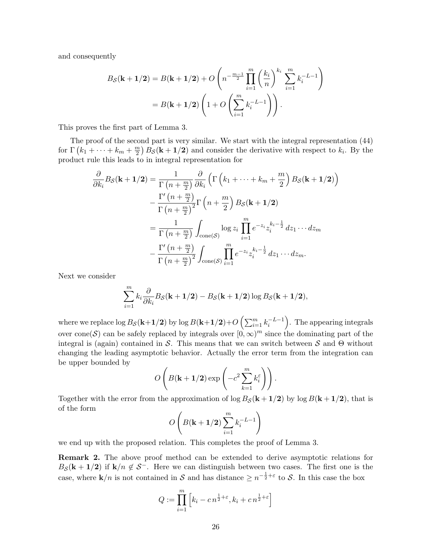and consequently

$$
B_{\mathcal{S}}(\mathbf{k} + \mathbf{1}/2) = B(\mathbf{k} + \mathbf{1}/2) + O\left(n^{-\frac{m-1}{2}} \prod_{i=1}^{m} \left(\frac{k_i}{n}\right)^{k_i} \sum_{i=1}^{m} k_i^{-L-1}\right)
$$
  
=  $B(\mathbf{k} + \mathbf{1}/2) \left(1 + O\left(\sum_{i=1}^{m} k_i^{-L-1}\right)\right).$ 

This proves the first part of Lemma 3.

The proof of the second part is very similar. We start with the integral representation (44) for  $\Gamma(k_1 + \cdots + k_m + \frac{m}{2})$  $\binom{m}{2}$   $B_{\mathcal{S}}(\mathbf{k} + \mathbf{1}/2)$  and consider the derivative with respect to  $k_i$ . By the product rule this leads to in integral representation for

$$
\frac{\partial}{\partial k_i} B_{\mathcal{S}}(\mathbf{k} + \mathbf{1}/2) = \frac{1}{\Gamma(n + \frac{m}{2})} \frac{\partial}{\partial k_i} \left( \Gamma\left(k_1 + \dots + k_m + \frac{m}{2}\right) B_{\mathcal{S}}(\mathbf{k} + \mathbf{1}/2) \right)
$$

$$
- \frac{\Gamma'\left(n + \frac{m}{2}\right)}{\Gamma(n + \frac{m}{2})^2} \Gamma\left(n + \frac{m}{2}\right) B_{\mathcal{S}}(\mathbf{k} + \mathbf{1}/2)
$$

$$
= \frac{1}{\Gamma(n + \frac{m}{2})} \int_{\text{cone}(\mathcal{S})} \log z_i \prod_{i=1}^m e^{-z_i} z_i^{k_i - \frac{1}{2}} dz_1 \cdots dz_m
$$

$$
- \frac{\Gamma'\left(n + \frac{m}{2}\right)}{\Gamma(n + \frac{m}{2})^2} \int_{\text{cone}(\mathcal{S})} \prod_{i=1}^m e^{-z_i} z_i^{k_i - \frac{1}{2}} dz_1 \cdots dz_m.
$$

Next we consider

$$
\sum_{i=1}^{m} k_i \frac{\partial}{\partial k_i} B_{\mathcal{S}}(\mathbf{k+1/2}) - B_{\mathcal{S}}(\mathbf{k+1/2}) \log B_{\mathcal{S}}(\mathbf{k+1/2}),
$$

where we replace  $\log B_{\cal S}({\bf k}+1/2)$  by  $\log B({\bf k}+1/2)+O\left(\sum_{i=1}^m k_i^{-L-1}\right)$ . The appearing integrals over cone (S) can be safely replaced by integrals over  $[0, \infty)^m$  since the dominating part of the integral is (again) contained in S. This means that we can switch between S and Θ without changing the leading asymptotic behavior. Actually the error term from the integration can be upper bounded by

$$
O\left(B(\mathbf{k}+\mathbf{1}/2)\exp\left(-c^2\sum_{k=1}^m k_i^{\varepsilon}\right)\right).
$$

Together with the error from the approximation of  $\log B_{\mathcal{S}}(\mathbf{k} + 1/2)$  by  $\log B(\mathbf{k} + 1/2)$ , that is of the form

$$
O\left(B(\mathbf{k}+\mathbf{1}/2)\sum_{i=1}^m k_i^{-L-1}\right)
$$

we end up with the proposed relation. This completes the proof of Lemma 3.

Remark 2. The above proof method can be extended to derive asymptotic relations for  $B_{\mathcal{S}}(\mathbf{k} + \mathbf{1}/2)$  if  $\mathbf{k}/n \notin \mathcal{S}^-$ . Here we can distinguish between two cases. The first one is the case, where  $\mathbf{k}/n$  is not contained in S and has distance  $\geq n^{-\frac{1}{2}+\varepsilon}$  to S. In this case the box

$$
Q := \prod_{i=1}^{m} \left[ k_i - c n^{\frac{1}{2} + \varepsilon}, k_i + c n^{\frac{1}{2} + \varepsilon} \right]
$$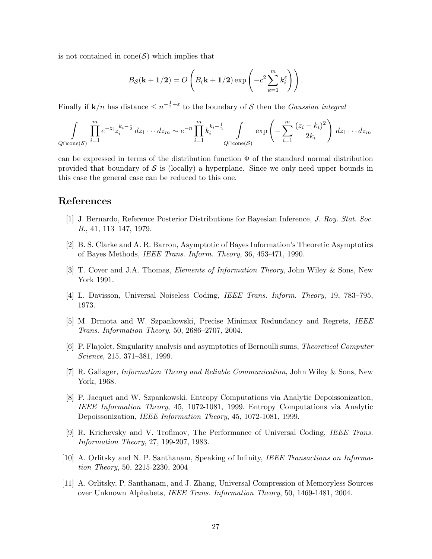is not contained in  $cone(S)$  which implies that

$$
B_{\mathcal{S}}(\mathbf{k+1/2}) = O\left(B(\mathbf{k+1/2})\exp\left(-c^2\sum_{k=1}^m k_i^{\varepsilon}\right)\right).
$$

Finally if  $\mathbf{k}/n$  has distance  $\leq n^{-\frac{1}{2}+\varepsilon}$  to the boundary of S then the *Gaussian integral* 

$$
\int_{Q \cap \text{cone}(\mathcal{S})} \prod_{i=1}^{m} e^{-z_i} z_i^{k_i - \frac{1}{2}} dz_1 \cdots dz_m \sim e^{-n} \prod_{i=1}^{m} k_i^{k_i - \frac{1}{2}} \int_{Q \cap \text{cone}(\mathcal{S})} \exp\left(-\sum_{i=1}^{m} \frac{(z_i - k_i)^2}{2k_i}\right) dz_1 \cdots dz_m
$$

can be expressed in terms of the distribution function  $\Phi$  of the standard normal distribution provided that boundary of  $S$  is (locally) a hyperplane. Since we only need upper bounds in this case the general case can be reduced to this one.

## References

- [1] J. Bernardo, Reference Posterior Distributions for Bayesian Inference, J. Roy. Stat. Soc. B., 41, 113–147, 1979.
- [2] B. S. Clarke and A. R. Barron, Asymptotic of Bayes Information's Theoretic Asymptotics of Bayes Methods, IEEE Trans. Inform. Theory, 36, 453-471, 1990.
- [3] T. Cover and J.A. Thomas, Elements of Information Theory, John Wiley & Sons, New York 1991.
- [4] L. Davisson, Universal Noiseless Coding, IEEE Trans. Inform. Theory, 19, 783–795, 1973.
- [5] M. Drmota and W. Szpankowski, Precise Minimax Redundancy and Regrets, IEEE Trans. Information Theory, 50, 2686–2707, 2004.
- [6] P. Flajolet, Singularity analysis and asymptotics of Bernoulli sums, Theoretical Computer Science, 215, 371–381, 1999.
- [7] R. Gallager, Information Theory and Reliable Communication, John Wiley & Sons, New York, 1968.
- [8] P. Jacquet and W. Szpankowski, Entropy Computations via Analytic Depoissonization, IEEE Information Theory, 45, 1072-1081, 1999. Entropy Computations via Analytic Depoissonization, *IEEE Information Theory*, 45, 1072-1081, 1999.
- [9] R. Krichevsky and V. Trofimov, The Performance of Universal Coding, IEEE Trans. Information Theory, 27, 199-207, 1983.
- [10] A. Orlitsky and N. P. Santhanam, Speaking of Infinity, IEEE Transactions on Information Theory, 50, 2215-2230, 2004
- [11] A. Orlitsky, P. Santhanam, and J. Zhang, Universal Compression of Memoryless Sources over Unknown Alphabets, IEEE Trans. Information Theory, 50, 1469-1481, 2004.